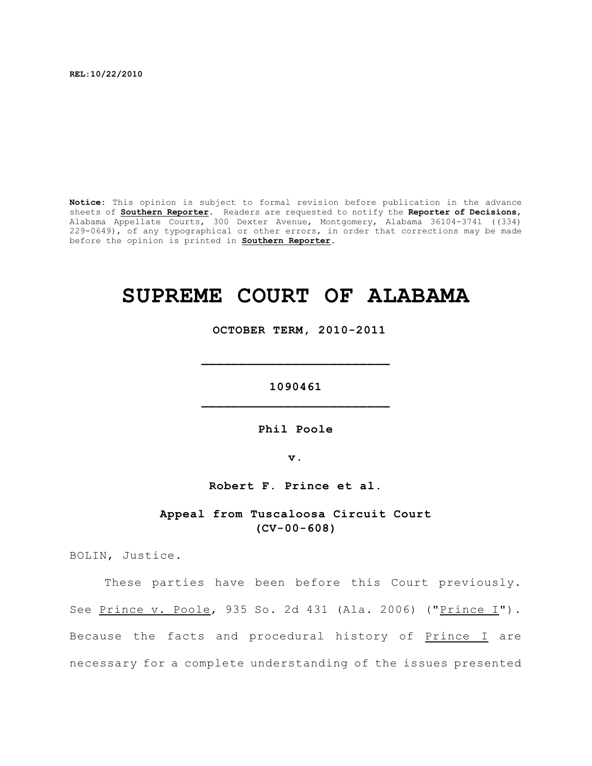**REL:10/22/2010**

**Notice:** This opinion is subject to formal revision before publication in the advance sheets of **Southern Reporter**. Readers are requested to notify the **Reporter of Decisions**, Alabama Appellate Courts, 300 Dexter Avenue, Montgomery, Alabama 36104-3741 ((334) 229-0649), of any typographical or other errors, in order that corrections may be made before the opinion is printed in **Southern Reporter**.

# **SUPREME COURT OF ALABAMA**

 **OCTOBER TERM, 2010-2011**

**1090461 \_\_\_\_\_\_\_\_\_\_\_\_\_\_\_\_\_\_\_\_\_\_\_\_\_**

**\_\_\_\_\_\_\_\_\_\_\_\_\_\_\_\_\_\_\_\_\_\_\_\_\_**

**Phil Poole**

**v.**

**Robert F. Prince et al.**

**Appeal from Tuscaloosa Circuit Court (CV-00-608)**

BOLIN, Justice.

These parties have been before this Court previously. See Prince v. Poole, 935 So. 2d 431 (Ala. 2006) ("Prince I"). Because the facts and procedural history of Prince I are necessary for a complete understanding of the issues presented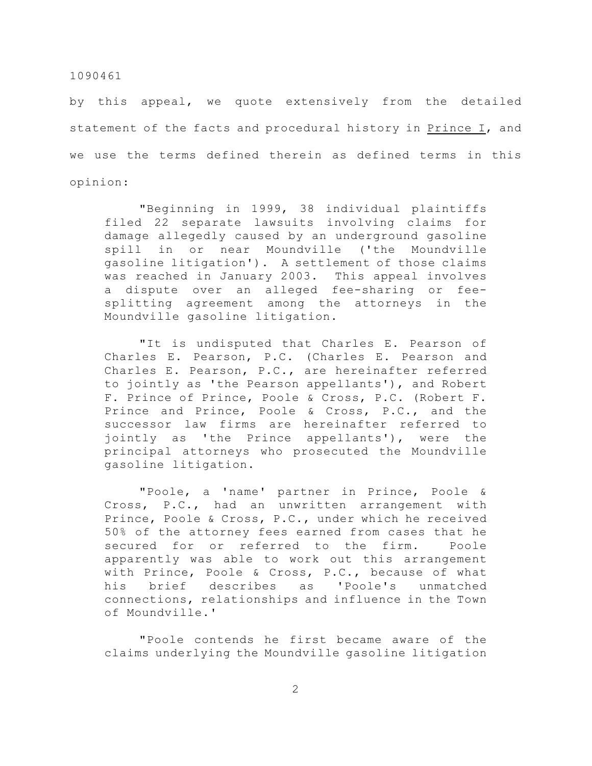by this appeal, we quote extensively from the detailed statement of the facts and procedural history in Prince I, and we use the terms defined therein as defined terms in this opinion:

"Beginning in 1999, 38 individual plaintiffs filed 22 separate lawsuits involving claims for damage allegedly caused by an underground gasoline spill in or near Moundville ('the Moundville gasoline litigation'). A settlement of those claims was reached in January 2003. This appeal involves a dispute over an alleged fee-sharing or feesplitting agreement among the attorneys in the Moundville gasoline litigation.

"It is undisputed that Charles E. Pearson of Charles E. Pearson, P.C. (Charles E. Pearson and Charles E. Pearson, P.C., are hereinafter referred to jointly as 'the Pearson appellants'), and Robert F. Prince of Prince, Poole & Cross, P.C. (Robert F. Prince and Prince, Poole & Cross, P.C., and the successor law firms are hereinafter referred to jointly as 'the Prince appellants'), were the principal attorneys who prosecuted the Moundville gasoline litigation.

"Poole, a 'name' partner in Prince, Poole & Cross, P.C., had an unwritten arrangement with Prince, Poole & Cross, P.C., under which he received 50% of the attorney fees earned from cases that he secured for or referred to the firm. Poole apparently was able to work out this arrangement with Prince, Poole & Cross, P.C., because of what his brief describes as 'Poole's unmatched connections, relationships and influence in the Town of Moundville.'

"Poole contends he first became aware of the claims underlying the Moundville gasoline litigation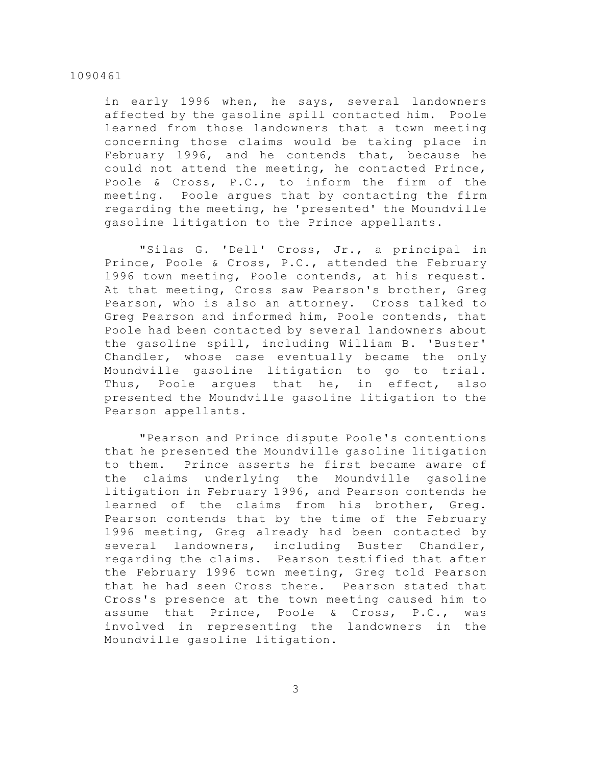in early 1996 when, he says, several landowners affected by the gasoline spill contacted him. Poole learned from those landowners that a town meeting concerning those claims would be taking place in February 1996, and he contends that, because he could not attend the meeting, he contacted Prince, Poole & Cross, P.C., to inform the firm of the meeting. Poole argues that by contacting the firm regarding the meeting, he 'presented' the Moundville gasoline litigation to the Prince appellants.

"Silas G. 'Dell' Cross, Jr., a principal in Prince, Poole & Cross, P.C., attended the February 1996 town meeting, Poole contends, at his request. At that meeting, Cross saw Pearson's brother, Greg Pearson, who is also an attorney. Cross talked to Greg Pearson and informed him, Poole contends, that Poole had been contacted by several landowners about the gasoline spill, including William B. 'Buster' Chandler, whose case eventually became the only Moundville gasoline litigation to go to trial. Thus, Poole argues that he, in effect, also presented the Moundville gasoline litigation to the Pearson appellants.

"Pearson and Prince dispute Poole's contentions that he presented the Moundville gasoline litigation to them. Prince asserts he first became aware of the claims underlying the Moundville gasoline litigation in February 1996, and Pearson contends he learned of the claims from his brother, Greg. Pearson contends that by the time of the February 1996 meeting, Greg already had been contacted by several landowners, including Buster Chandler, regarding the claims. Pearson testified that after the February 1996 town meeting, Greg told Pearson that he had seen Cross there. Pearson stated that Cross's presence at the town meeting caused him to assume that Prince, Poole & Cross, P.C., was involved in representing the landowners in the Moundville gasoline litigation.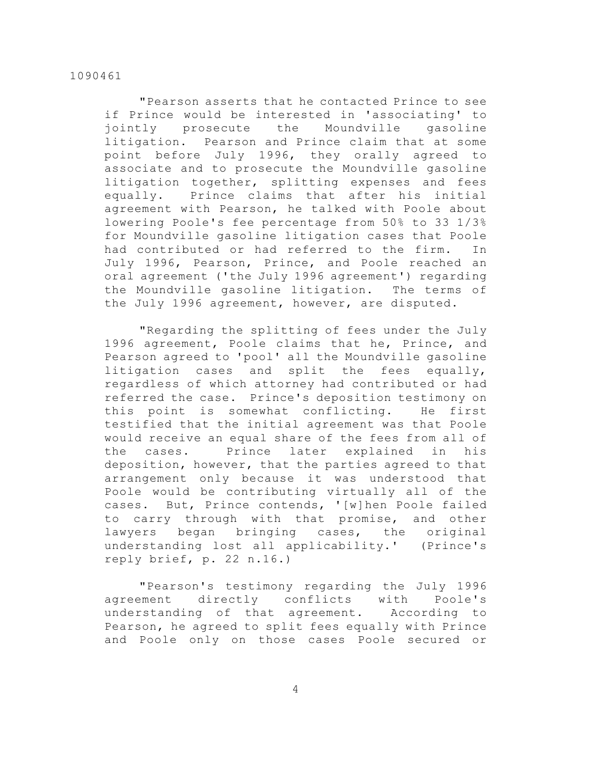"Pearson asserts that he contacted Prince to see if Prince would be interested in 'associating' to jointly prosecute the Moundville gasoline litigation. Pearson and Prince claim that at some point before July 1996, they orally agreed to associate and to prosecute the Moundville gasoline litigation together, splitting expenses and fees equally. Prince claims that after his initial agreement with Pearson, he talked with Poole about lowering Poole's fee percentage from 50% to 33 1/3% for Moundville gasoline litigation cases that Poole had contributed or had referred to the firm. In July 1996, Pearson, Prince, and Poole reached an oral agreement ('the July 1996 agreement') regarding the Moundville gasoline litigation. The terms of the July 1996 agreement, however, are disputed.

"Regarding the splitting of fees under the July 1996 agreement, Poole claims that he, Prince, and Pearson agreed to 'pool' all the Moundville gasoline litigation cases and split the fees equally, regardless of which attorney had contributed or had referred the case. Prince's deposition testimony on this point is somewhat conflicting. He first testified that the initial agreement was that Poole would receive an equal share of the fees from all of the cases. Prince later explained in his deposition, however, that the parties agreed to that arrangement only because it was understood that Poole would be contributing virtually all of the cases. But, Prince contends, '[w]hen Poole failed to carry through with that promise, and other lawyers began bringing cases, the original understanding lost all applicability.' (Prince's reply brief, p. 22 n.16.)

"Pearson's testimony regarding the July 1996 agreement directly conflicts with Poole's understanding of that agreement. According to Pearson, he agreed to split fees equally with Prince and Poole only on those cases Poole secured or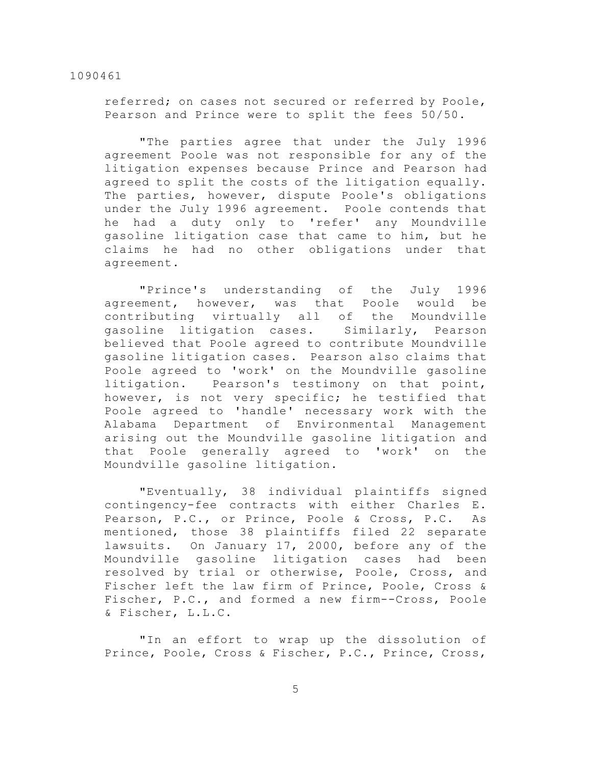referred; on cases not secured or referred by Poole, Pearson and Prince were to split the fees 50/50.

"The parties agree that under the July 1996 agreement Poole was not responsible for any of the litigation expenses because Prince and Pearson had agreed to split the costs of the litigation equally. The parties, however, dispute Poole's obligations under the July 1996 agreement. Poole contends that he had a duty only to 'refer' any Moundville gasoline litigation case that came to him, but he claims he had no other obligations under that agreement.

"Prince's understanding of the July 1996 agreement, however, was that Poole would be contributing virtually all of the Moundville gasoline litigation cases. Similarly, Pearson believed that Poole agreed to contribute Moundville gasoline litigation cases. Pearson also claims that Poole agreed to 'work' on the Moundville gasoline litigation. Pearson's testimony on that point, however, is not very specific; he testified that Poole agreed to 'handle' necessary work with the Alabama Department of Environmental Management arising out the Moundville gasoline litigation and that Poole generally agreed to 'work' on the Moundville gasoline litigation.

"Eventually, 38 individual plaintiffs signed contingency-fee contracts with either Charles E. Pearson, P.C., or Prince, Poole & Cross, P.C. As mentioned, those 38 plaintiffs filed 22 separate lawsuits. On January 17, 2000, before any of the Moundville gasoline litigation cases had been resolved by trial or otherwise, Poole, Cross, and Fischer left the law firm of Prince, Poole, Cross & Fischer, P.C., and formed a new firm--Cross, Poole & Fischer, L.L.C.

"In an effort to wrap up the dissolution of Prince, Poole, Cross & Fischer, P.C., Prince, Cross,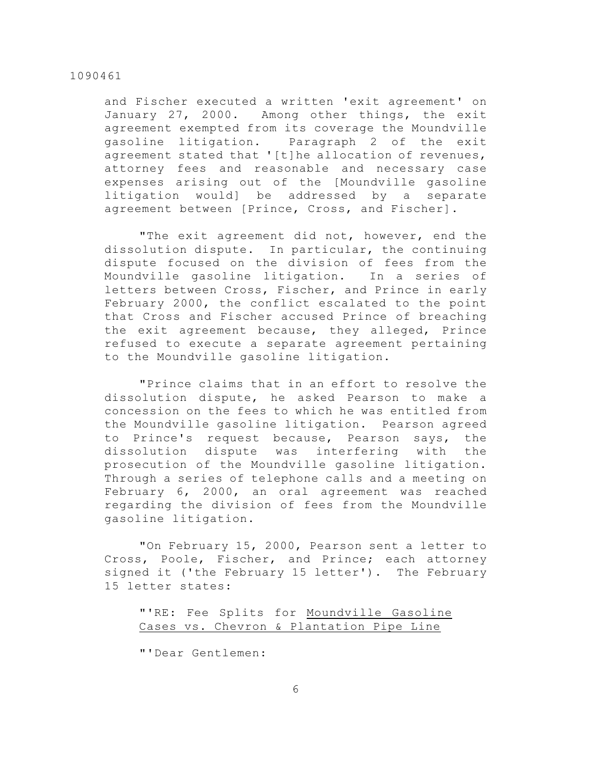and Fischer executed a written 'exit agreement' on January 27, 2000. Among other things, the exit agreement exempted from its coverage the Moundville gasoline litigation. Paragraph 2 of the exit agreement stated that '[t]he allocation of revenues, attorney fees and reasonable and necessary case expenses arising out of the [Moundville gasoline litigation would] be addressed by a separate agreement between [Prince, Cross, and Fischer].

"The exit agreement did not, however, end the dissolution dispute. In particular, the continuing dispute focused on the division of fees from the Moundville gasoline litigation. In a series of letters between Cross, Fischer, and Prince in early February 2000, the conflict escalated to the point that Cross and Fischer accused Prince of breaching the exit agreement because, they alleged, Prince refused to execute a separate agreement pertaining to the Moundville gasoline litigation.

"Prince claims that in an effort to resolve the dissolution dispute, he asked Pearson to make a concession on the fees to which he was entitled from the Moundville gasoline litigation. Pearson agreed to Prince's request because, Pearson says, the dissolution dispute was interfering with the prosecution of the Moundville gasoline litigation. Through a series of telephone calls and a meeting on February 6, 2000, an oral agreement was reached regarding the division of fees from the Moundville gasoline litigation.

"On February 15, 2000, Pearson sent a letter to Cross, Poole, Fischer, and Prince; each attorney signed it ('the February 15 letter'). The February 15 letter states:

"'RE: Fee Splits for Moundville Gasoline Cases vs. Chevron & Plantation Pipe Line

"'Dear Gentlemen: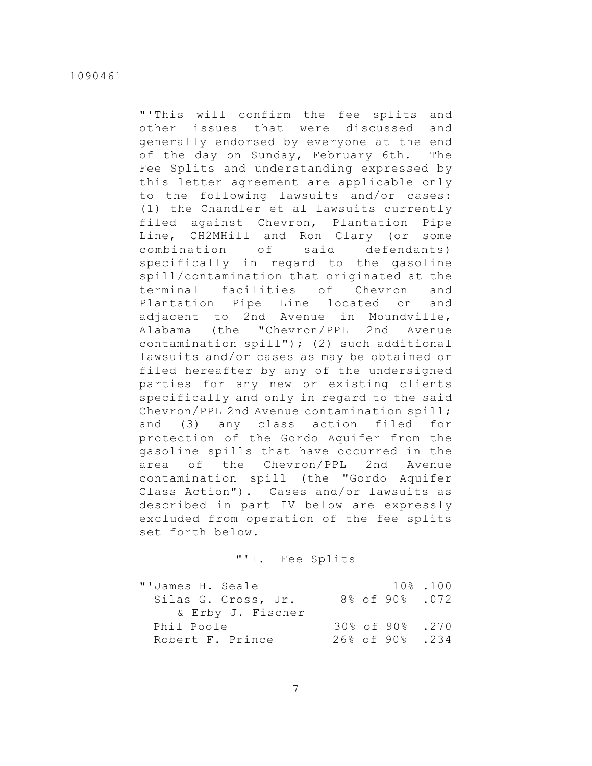"'This will confirm the fee splits and other issues that were discussed and generally endorsed by everyone at the end of the day on Sunday, February 6th. The Fee Splits and understanding expressed by this letter agreement are applicable only to the following lawsuits and/or cases: (1) the Chandler et al lawsuits currently filed against Chevron, Plantation Pipe Line, CH2MHill and Ron Clary (or some combination of said defendants) specifically in regard to the gasoline spill/contamination that originated at the terminal facilities of Chevron and Plantation Pipe Line located on and adjacent to 2nd Avenue in Moundville, Alabama (the "Chevron/PPL 2nd Avenue contamination spill"); (2) such additional lawsuits and/or cases as may be obtained or filed hereafter by any of the undersigned parties for any new or existing clients specifically and only in regard to the said Chevron/PPL 2nd Avenue contamination spill; and (3) any class action filed for protection of the Gordo Aquifer from the gasoline spills that have occurred in the area of the Chevron/PPL 2nd Avenue contamination spill (the "Gordo Aquifer Class Action"). Cases and/or lawsuits as described in part IV below are expressly excluded from operation of the fee splits set forth below.

# "'I. Fee Splits

| "'James H. Seale    |  |                 | 10%.100 |
|---------------------|--|-----------------|---------|
| Silas G. Cross, Jr. |  | 8% of 90% .072  |         |
| & Erby J. Fischer   |  |                 |         |
| Phil Poole          |  | 30% of 90% .270 |         |
| Robert F. Prince    |  | 26% of 90%. 234 |         |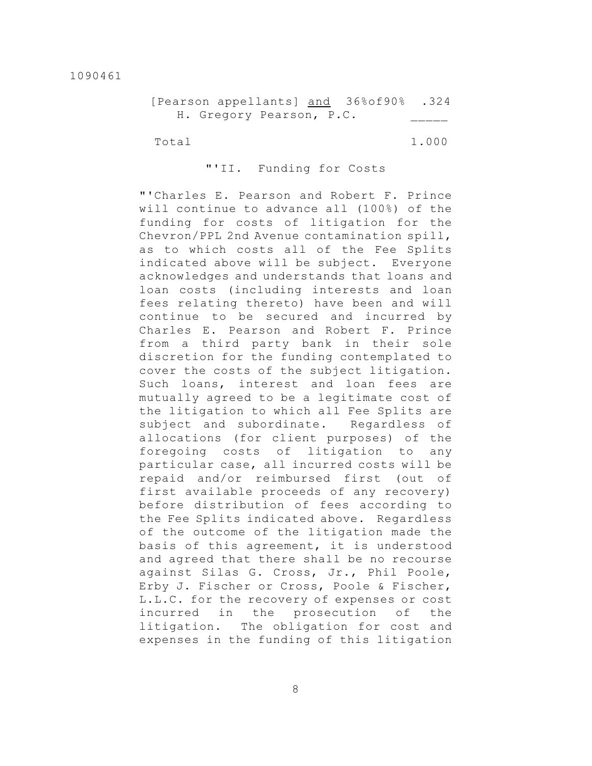|                          |  | [Pearson appellants] and 36%of90% .324 |  |
|--------------------------|--|----------------------------------------|--|
| H. Gregory Pearson, P.C. |  |                                        |  |

Total 1.000

# "'II. Funding for Costs

"'Charles E. Pearson and Robert F. Prince will continue to advance all (100%) of the funding for costs of litigation for the Chevron/PPL 2nd Avenue contamination spill, as to which costs all of the Fee Splits indicated above will be subject. Everyone acknowledges and understands that loans and loan costs (including interests and loan fees relating thereto) have been and will continue to be secured and incurred by Charles E. Pearson and Robert F. Prince from a third party bank in their sole discretion for the funding contemplated to cover the costs of the subject litigation. Such loans, interest and loan fees are mutually agreed to be a legitimate cost of the litigation to which all Fee Splits are subject and subordinate. Regardless of allocations (for client purposes) of the foregoing costs of litigation to any particular case, all incurred costs will be repaid and/or reimbursed first (out of first available proceeds of any recovery) before distribution of fees according to the Fee Splits indicated above. Regardless of the outcome of the litigation made the basis of this agreement, it is understood and agreed that there shall be no recourse against Silas G. Cross, Jr., Phil Poole, Erby J. Fischer or Cross, Poole & Fischer, L.L.C. for the recovery of expenses or cost incurred in the prosecution of the litigation. The obligation for cost and expenses in the funding of this litigation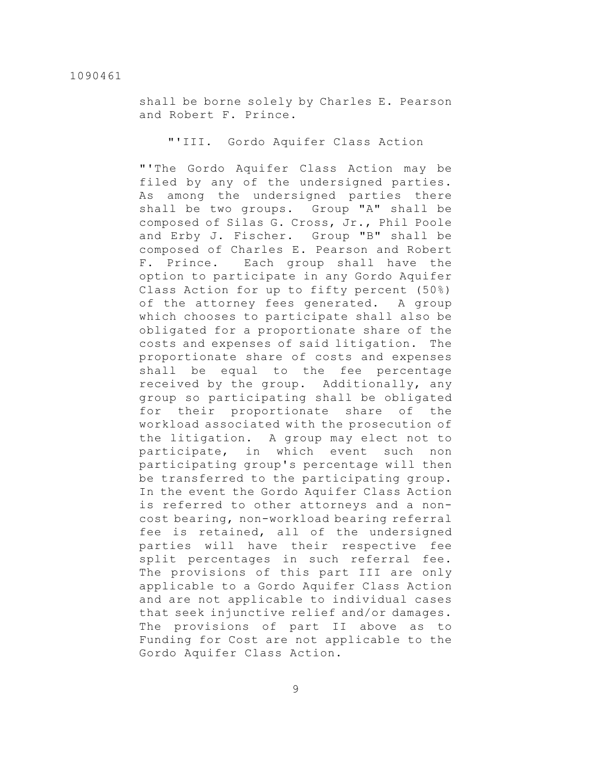shall be borne solely by Charles E. Pearson and Robert F. Prince.

"'III. Gordo Aquifer Class Action

"'The Gordo Aquifer Class Action may be filed by any of the undersigned parties. As among the undersigned parties there shall be two groups. Group "A" shall be composed of Silas G. Cross, Jr., Phil Poole and Erby J. Fischer. Group "B" shall be composed of Charles E. Pearson and Robert F. Prince. Each group shall have the option to participate in any Gordo Aquifer Class Action for up to fifty percent (50%) of the attorney fees generated. A group which chooses to participate shall also be obligated for a proportionate share of the costs and expenses of said litigation. The proportionate share of costs and expenses shall be equal to the fee percentage received by the group. Additionally, any group so participating shall be obligated for their proportionate share of the workload associated with the prosecution of the litigation. A group may elect not to participate, in which event such non participating group's percentage will then be transferred to the participating group. In the event the Gordo Aquifer Class Action is referred to other attorneys and a noncost bearing, non-workload bearing referral fee is retained, all of the undersigned parties will have their respective fee split percentages in such referral fee. The provisions of this part III are only applicable to a Gordo Aquifer Class Action and are not applicable to individual cases that seek injunctive relief and/or damages. The provisions of part II above as to Funding for Cost are not applicable to the Gordo Aquifer Class Action.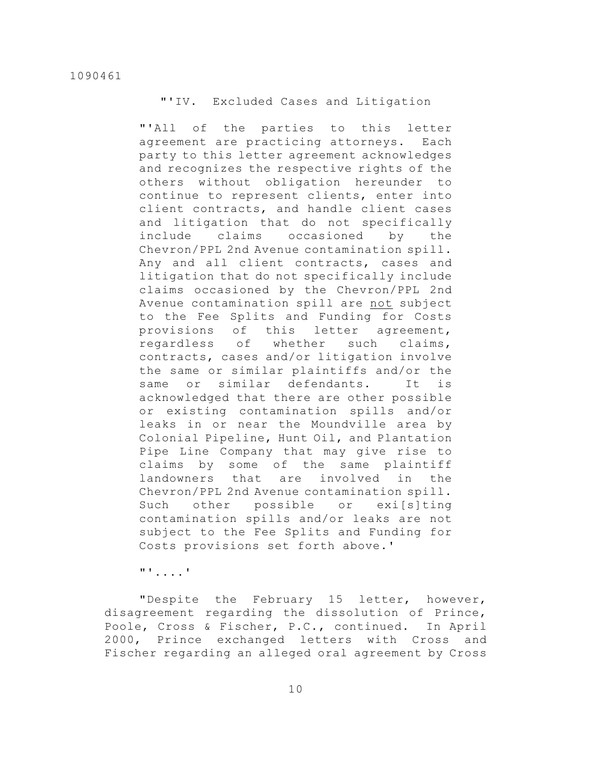"'IV. Excluded Cases and Litigation

"'All of the parties to this letter agreement are practicing attorneys. Each party to this letter agreement acknowledges and recognizes the respective rights of the others without obligation hereunder to continue to represent clients, enter into client contracts, and handle client cases and litigation that do not specifically include claims occasioned by the Chevron/PPL 2nd Avenue contamination spill. Any and all client contracts, cases and litigation that do not specifically include claims occasioned by the Chevron/PPL 2nd Avenue contamination spill are not subject to the Fee Splits and Funding for Costs provisions of this letter agreement, regardless of whether such claims, contracts, cases and/or litigation involve the same or similar plaintiffs and/or the same or similar defendants. It is acknowledged that there are other possible or existing contamination spills and/or leaks in or near the Moundville area by Colonial Pipeline, Hunt Oil, and Plantation Pipe Line Company that may give rise to claims by some of the same plaintiff landowners that are involved in the Chevron/PPL 2nd Avenue contamination spill. Such other possible or exi[s]ting contamination spills and/or leaks are not subject to the Fee Splits and Funding for Costs provisions set forth above.'

"'....'

"Despite the February 15 letter, however, disagreement regarding the dissolution of Prince, Poole, Cross & Fischer, P.C., continued. In April 2000, Prince exchanged letters with Cross and Fischer regarding an alleged oral agreement by Cross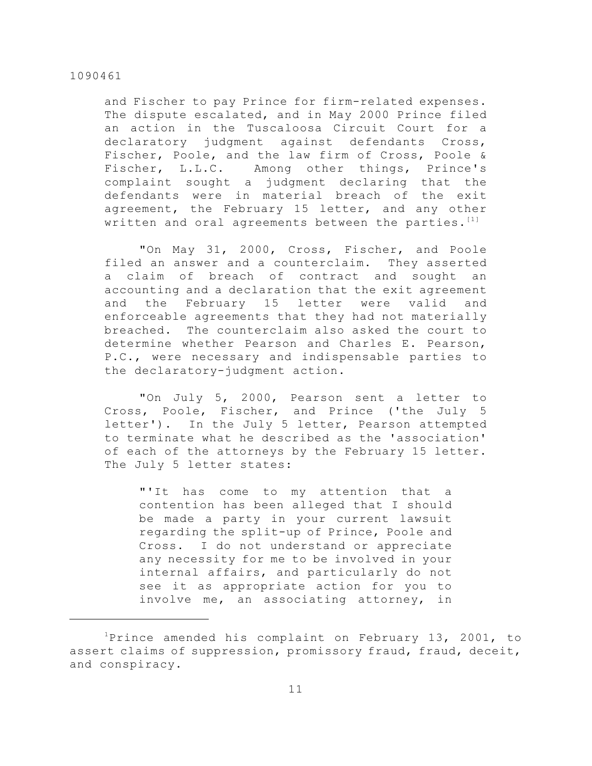and Fischer to pay Prince for firm-related expenses. The dispute escalated, and in May 2000 Prince filed an action in the Tuscaloosa Circuit Court for a declaratory judgment against defendants Cross, Fischer, Poole, and the law firm of Cross, Poole & Fischer, L.L.C. Among other things, Prince's complaint sought a judgment declaring that the defendants were in material breach of the exit agreement, the February 15 letter, and any other written and oral agreements between the parties.<sup>[1]</sup>

"On May 31, 2000, Cross, Fischer, and Poole filed an answer and a counterclaim. They asserted a claim of breach of contract and sought an accounting and a declaration that the exit agreement and the February 15 letter were valid and enforceable agreements that they had not materially breached. The counterclaim also asked the court to determine whether Pearson and Charles E. Pearson, P.C., were necessary and indispensable parties to the declaratory-judgment action.

"On July 5, 2000, Pearson sent a letter to Cross, Poole, Fischer, and Prince ('the July 5 letter'). In the July 5 letter, Pearson attempted to terminate what he described as the 'association' of each of the attorneys by the February 15 letter. The July 5 letter states:

"'It has come to my attention that a contention has been alleged that I should be made a party in your current lawsuit regarding the split-up of Prince, Poole and Cross. I do not understand or appreciate any necessity for me to be involved in your internal affairs, and particularly do not see it as appropriate action for you to involve me, an associating attorney, in

 $1$ Prince amended his complaint on February 13, 2001, to assert claims of suppression, promissory fraud, fraud, deceit, and conspiracy.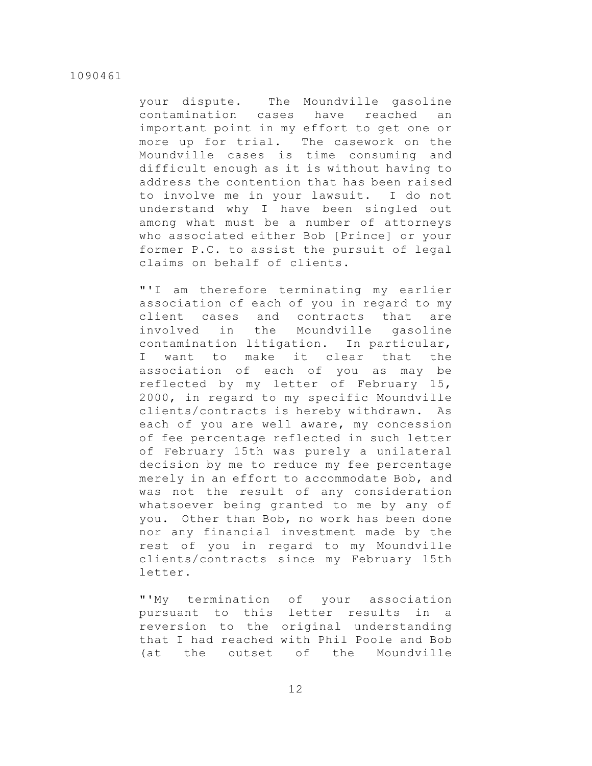your dispute. The Moundville gasoline contamination cases have reached an important point in my effort to get one or more up for trial. The casework on the Moundville cases is time consuming and difficult enough as it is without having to address the contention that has been raised to involve me in your lawsuit. I do not understand why I have been singled out among what must be a number of attorneys who associated either Bob [Prince] or your former P.C. to assist the pursuit of legal claims on behalf of clients.

"'I am therefore terminating my earlier association of each of you in regard to my client cases and contracts that are involved in the Moundville gasoline contamination litigation. In particular, I want to make it clear that the association of each of you as may be reflected by my letter of February 15, 2000, in regard to my specific Moundville clients/contracts is hereby withdrawn. As each of you are well aware, my concession of fee percentage reflected in such letter of February 15th was purely a unilateral decision by me to reduce my fee percentage merely in an effort to accommodate Bob, and was not the result of any consideration whatsoever being granted to me by any of you. Other than Bob, no work has been done nor any financial investment made by the rest of you in regard to my Moundville clients/contracts since my February 15th letter.

"'My termination of your association pursuant to this letter results in a reversion to the original understanding that I had reached with Phil Poole and Bob (at the outset of the Moundville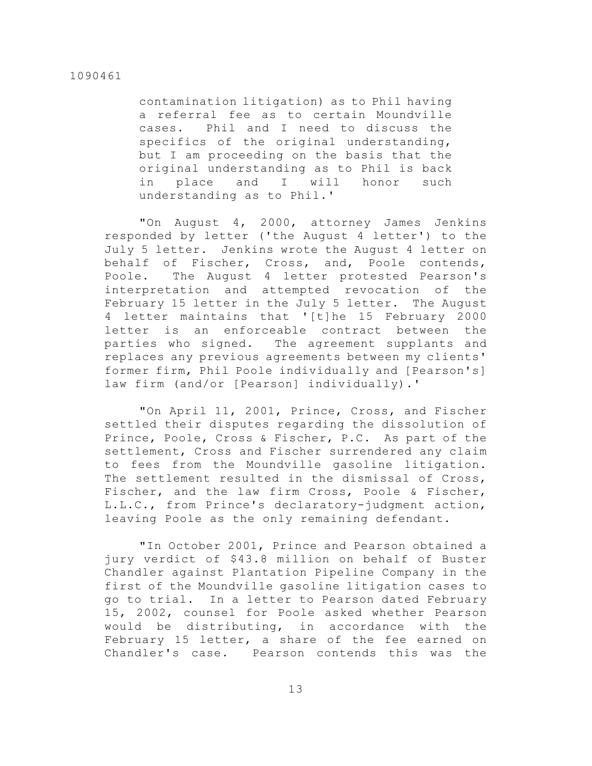contamination litigation) as to Phil having a referral fee as to certain Moundville cases. Phil and I need to discuss the specifics of the original understanding, but I am proceeding on the basis that the original understanding as to Phil is back in place and I will honor such understanding as to Phil.'

"On August 4, 2000, attorney James Jenkins responded by letter ('the August 4 letter') to the July 5 letter. Jenkins wrote the August 4 letter on behalf of Fischer, Cross, and, Poole contends, Poole. The August 4 letter protested Pearson's interpretation and attempted revocation of the February 15 letter in the July 5 letter. The August 4 letter maintains that '[t]he 15 February 2000 letter is an enforceable contract between the parties who signed. The agreement supplants and replaces any previous agreements between my clients' former firm, Phil Poole individually and [Pearson's] law firm (and/or [Pearson] individually).'

"On April 11, 2001, Prince, Cross, and Fischer settled their disputes regarding the dissolution of Prince, Poole, Cross & Fischer, P.C. As part of the settlement, Cross and Fischer surrendered any claim to fees from the Moundville gasoline litigation. The settlement resulted in the dismissal of Cross, Fischer, and the law firm Cross, Poole & Fischer, L.L.C., from Prince's declaratory-judgment action, leaving Poole as the only remaining defendant.

"In October 2001, Prince and Pearson obtained a jury verdict of \$43.8 million on behalf of Buster Chandler against Plantation Pipeline Company in the first of the Moundville gasoline litigation cases to go to trial. In a letter to Pearson dated February 15, 2002, counsel for Poole asked whether Pearson would be distributing, in accordance with the February 15 letter, a share of the fee earned on Chandler's case. Pearson contends this was the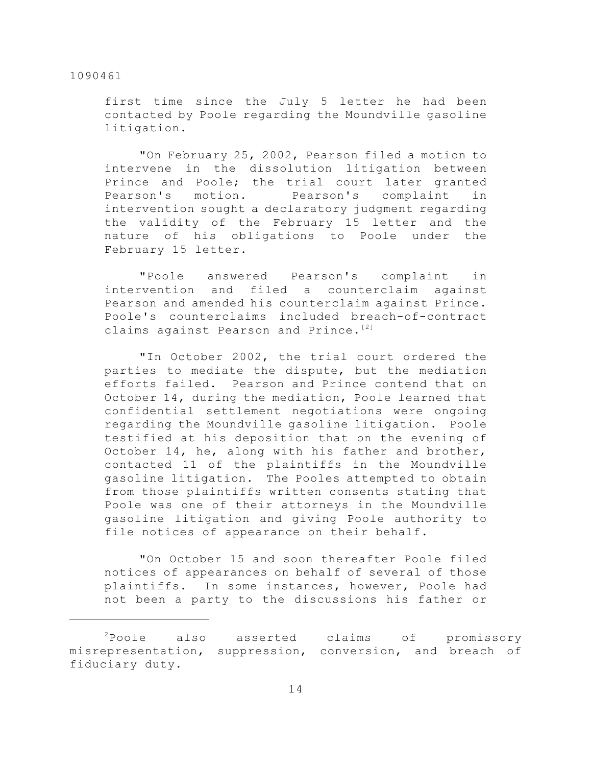first time since the July 5 letter he had been contacted by Poole regarding the Moundville gasoline litigation.

"On February 25, 2002, Pearson filed a motion to intervene in the dissolution litigation between Prince and Poole; the trial court later granted Pearson's motion. Pearson's complaint in intervention sought a declaratory judgment regarding the validity of the February 15 letter and the nature of his obligations to Poole under the February 15 letter.

"Poole answered Pearson's complaint in intervention and filed a counterclaim against Pearson and amended his counterclaim against Prince. Poole's counterclaims included breach-of-contract claims against Pearson and Prince.<sup>[2]</sup>

"In October 2002, the trial court ordered the parties to mediate the dispute, but the mediation efforts failed. Pearson and Prince contend that on October 14, during the mediation, Poole learned that confidential settlement negotiations were ongoing regarding the Moundville gasoline litigation. Poole testified at his deposition that on the evening of October 14, he, along with his father and brother, contacted 11 of the plaintiffs in the Moundville gasoline litigation. The Pooles attempted to obtain from those plaintiffs written consents stating that Poole was one of their attorneys in the Moundville gasoline litigation and giving Poole authority to file notices of appearance on their behalf.

"On October 15 and soon thereafter Poole filed notices of appearances on behalf of several of those plaintiffs. In some instances, however, Poole had not been a party to the discussions his father or

 $P$ Poole also asserted claims of promissory misrepresentation, suppression, conversion, and breach of fiduciary duty.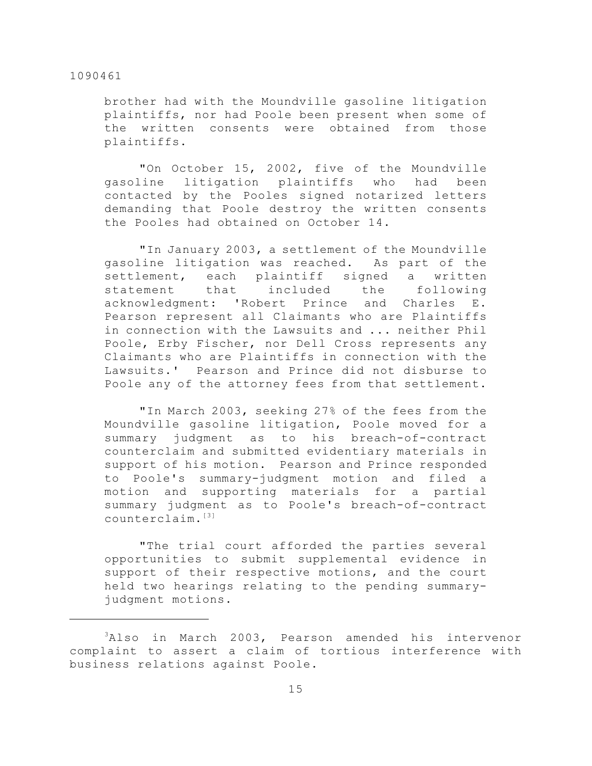brother had with the Moundville gasoline litigation plaintiffs, nor had Poole been present when some of the written consents were obtained from those plaintiffs.

"On October 15, 2002, five of the Moundville gasoline litigation plaintiffs who had been contacted by the Pooles signed notarized letters demanding that Poole destroy the written consents the Pooles had obtained on October 14.

"In January 2003, a settlement of the Moundville gasoline litigation was reached. As part of the settlement, each plaintiff signed a written statement that included the following acknowledgment: 'Robert Prince and Charles E. Pearson represent all Claimants who are Plaintiffs in connection with the Lawsuits and ... neither Phil Poole, Erby Fischer, nor Dell Cross represents any Claimants who are Plaintiffs in connection with the Lawsuits.' Pearson and Prince did not disburse to Poole any of the attorney fees from that settlement.

"In March 2003, seeking 27% of the fees from the Moundville gasoline litigation, Poole moved for a summary judgment as to his breach-of-contract counterclaim and submitted evidentiary materials in support of his motion. Pearson and Prince responded to Poole's summary-judgment motion and filed a motion and supporting materials for a partial summary judgment as to Poole's breach-of-contract counterclaim.[3]

"The trial court afforded the parties several opportunities to submit supplemental evidence in support of their respective motions, and the court held two hearings relating to the pending summaryjudgment motions.

 $3$ Also in March 2003, Pearson amended his intervenor complaint to assert a claim of tortious interference with business relations against Poole.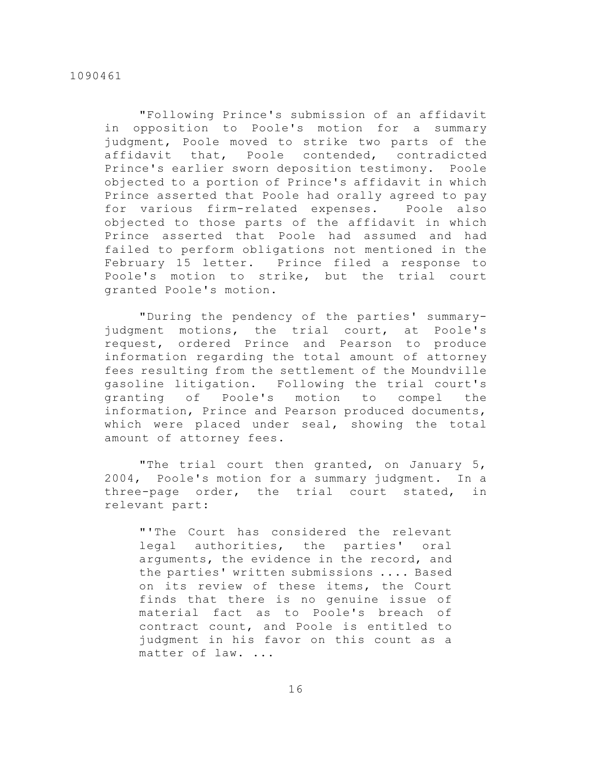"Following Prince's submission of an affidavit in opposition to Poole's motion for a summary judgment, Poole moved to strike two parts of the affidavit that, Poole contended, contradicted Prince's earlier sworn deposition testimony. Poole objected to a portion of Prince's affidavit in which Prince asserted that Poole had orally agreed to pay for various firm-related expenses. Poole also objected to those parts of the affidavit in which Prince asserted that Poole had assumed and had failed to perform obligations not mentioned in the February 15 letter. Prince filed a response to Poole's motion to strike, but the trial court granted Poole's motion.

"During the pendency of the parties' summaryjudgment motions, the trial court, at Poole's request, ordered Prince and Pearson to produce information regarding the total amount of attorney fees resulting from the settlement of the Moundville gasoline litigation. Following the trial court's granting of Poole's motion to compel the information, Prince and Pearson produced documents, which were placed under seal, showing the total amount of attorney fees.

"The trial court then granted, on January 5, 2004, Poole's motion for a summary judgment. In a three-page order, the trial court stated, in relevant part:

"'The Court has considered the relevant legal authorities, the parties' oral arguments, the evidence in the record, and the parties' written submissions .... Based on its review of these items, the Court finds that there is no genuine issue of material fact as to Poole's breach of contract count, and Poole is entitled to judgment in his favor on this count as a matter of law. ...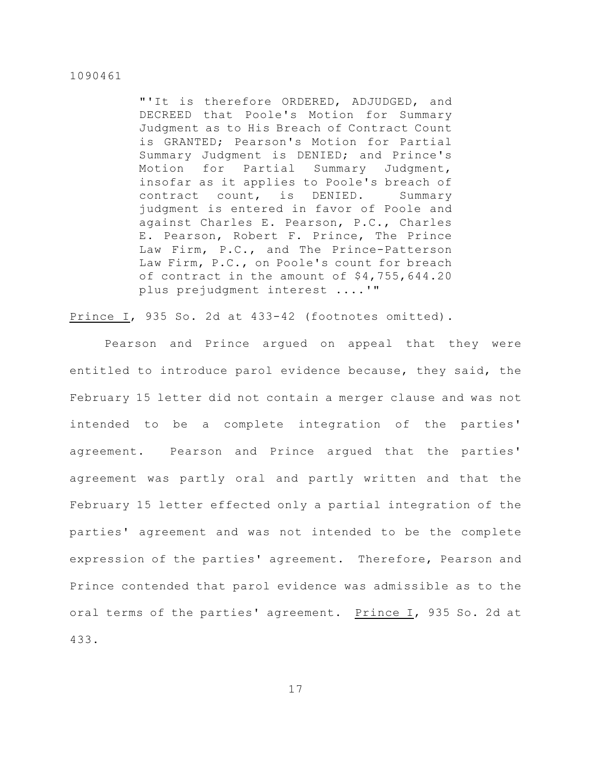"'It is therefore ORDERED, ADJUDGED, and DECREED that Poole's Motion for Summary Judgment as to His Breach of Contract Count is GRANTED; Pearson's Motion for Partial Summary Judgment is DENIED; and Prince's Motion for Partial Summary Judgment, insofar as it applies to Poole's breach of contract count, is DENIED. Summary judgment is entered in favor of Poole and against Charles E. Pearson, P.C., Charles E. Pearson, Robert F. Prince, The Prince Law Firm, P.C., and The Prince-Patterson Law Firm, P.C., on Poole's count for breach of contract in the amount of \$4,755,644.20 plus prejudgment interest ....'"

Prince I, 935 So. 2d at 433-42 (footnotes omitted).

Pearson and Prince argued on appeal that they were entitled to introduce parol evidence because, they said, the February 15 letter did not contain a merger clause and was not intended to be a complete integration of the parties' agreement. Pearson and Prince argued that the parties' agreement was partly oral and partly written and that the February 15 letter effected only a partial integration of the parties' agreement and was not intended to be the complete expression of the parties' agreement. Therefore, Pearson and Prince contended that parol evidence was admissible as to the oral terms of the parties' agreement. Prince I, 935 So. 2d at 433.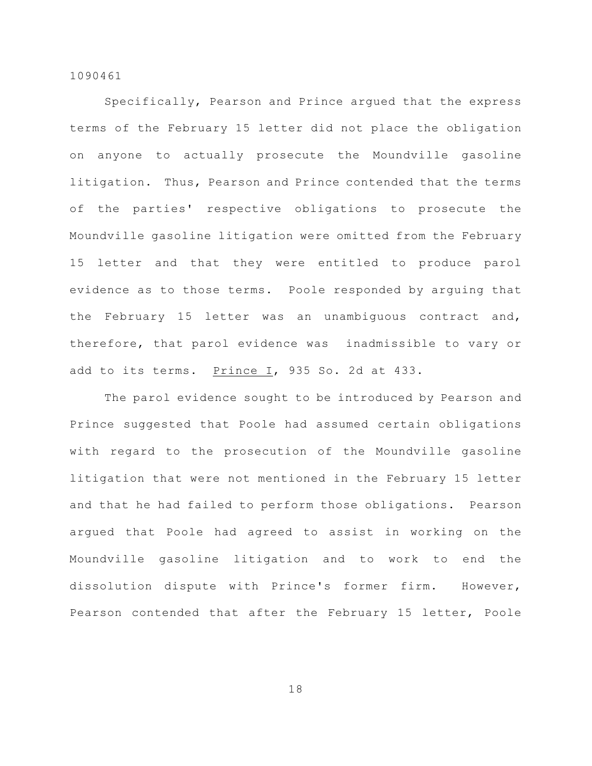Specifically, Pearson and Prince argued that the express terms of the February 15 letter did not place the obligation on anyone to actually prosecute the Moundville gasoline litigation. Thus, Pearson and Prince contended that the terms of the parties' respective obligations to prosecute the Moundville gasoline litigation were omitted from the February 15 letter and that they were entitled to produce parol evidence as to those terms. Poole responded by arguing that the February 15 letter was an unambiguous contract and, therefore, that parol evidence was inadmissible to vary or add to its terms. Prince I, 935 So. 2d at 433.

The parol evidence sought to be introduced by Pearson and Prince suggested that Poole had assumed certain obligations with regard to the prosecution of the Moundville gasoline litigation that were not mentioned in the February 15 letter and that he had failed to perform those obligations. Pearson argued that Poole had agreed to assist in working on the Moundville gasoline litigation and to work to end the dissolution dispute with Prince's former firm. However, Pearson contended that after the February 15 letter, Poole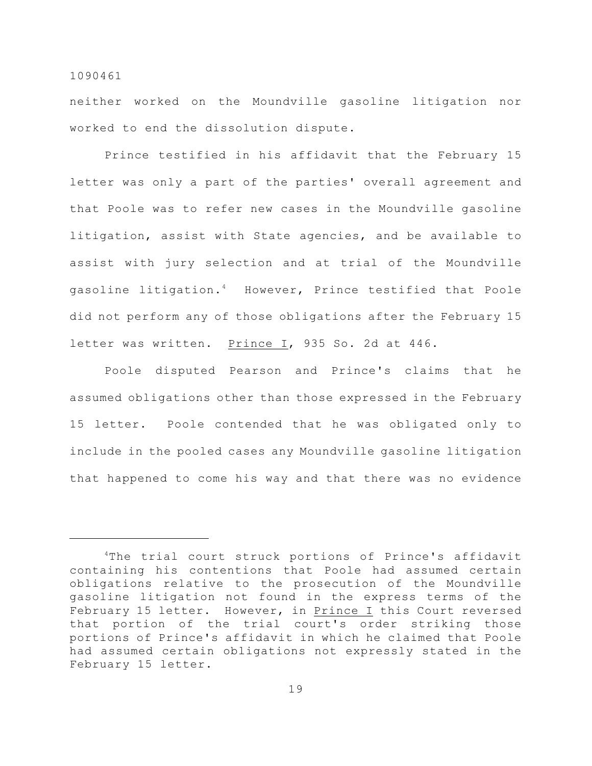neither worked on the Moundville gasoline litigation nor worked to end the dissolution dispute.

Prince testified in his affidavit that the February 15 letter was only a part of the parties' overall agreement and that Poole was to refer new cases in the Moundville gasoline litigation, assist with State agencies, and be available to assist with jury selection and at trial of the Moundville gasoline litigation.<sup>4</sup> However, Prince testified that Poole did not perform any of those obligations after the February 15 letter was written. Prince I, 935 So. 2d at 446.

Poole disputed Pearson and Prince's claims that he assumed obligations other than those expressed in the February 15 letter. Poole contended that he was obligated only to include in the pooled cases any Moundville gasoline litigation that happened to come his way and that there was no evidence

<sup>&</sup>lt;sup>4</sup>The trial court struck portions of Prince's affidavit containing his contentions that Poole had assumed certain obligations relative to the prosecution of the Moundville gasoline litigation not found in the express terms of the February 15 letter. However, in Prince I this Court reversed that portion of the trial court's order striking those portions of Prince's affidavit in which he claimed that Poole had assumed certain obligations not expressly stated in the February 15 letter.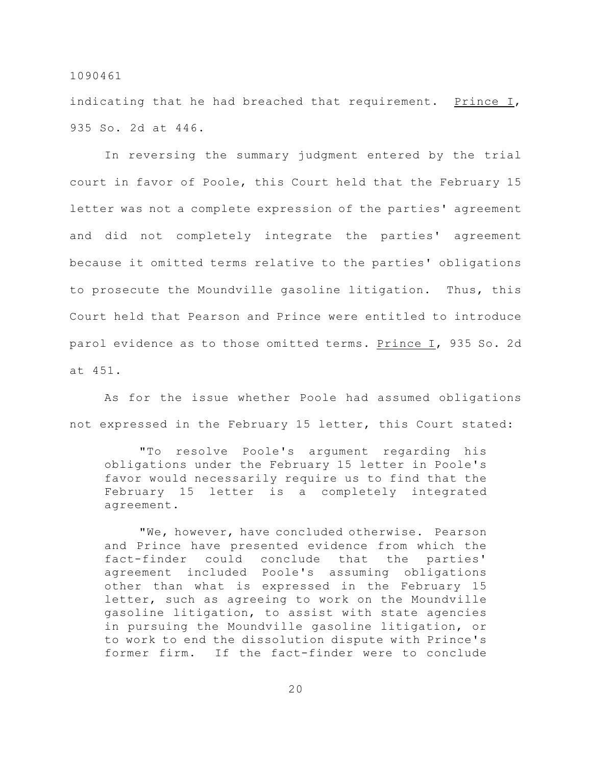indicating that he had breached that requirement. Prince I, 935 So. 2d at 446.

In reversing the summary judgment entered by the trial court in favor of Poole, this Court held that the February 15 letter was not a complete expression of the parties' agreement and did not completely integrate the parties' agreement because it omitted terms relative to the parties' obligations to prosecute the Moundville gasoline litigation. Thus, this Court held that Pearson and Prince were entitled to introduce parol evidence as to those omitted terms. Prince I, 935 So. 2d at 451.

As for the issue whether Poole had assumed obligations not expressed in the February 15 letter, this Court stated:

"To resolve Poole's argument regarding his obligations under the February 15 letter in Poole's favor would necessarily require us to find that the February 15 letter is a completely integrated agreement.

"We, however, have concluded otherwise. Pearson and Prince have presented evidence from which the fact-finder could conclude that the parties' agreement included Poole's assuming obligations other than what is expressed in the February 15 letter, such as agreeing to work on the Moundville gasoline litigation, to assist with state agencies in pursuing the Moundville gasoline litigation, or to work to end the dissolution dispute with Prince's former firm. If the fact-finder were to conclude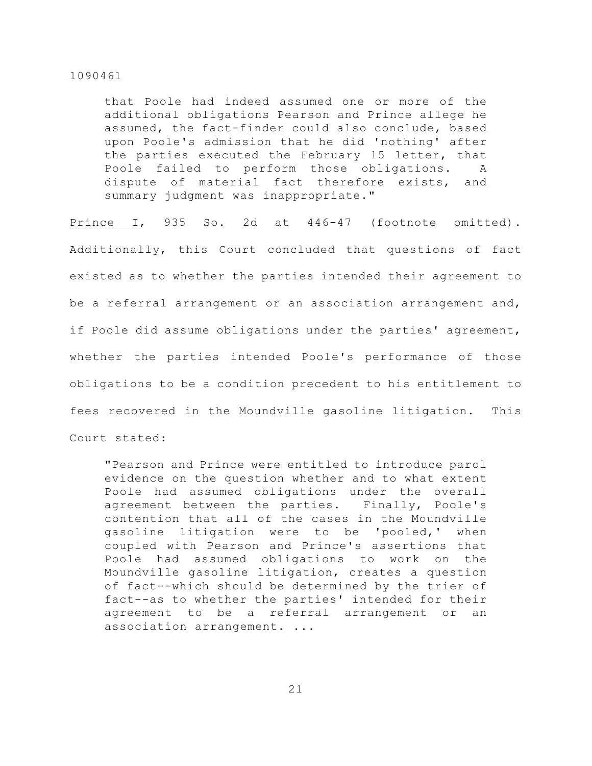that Poole had indeed assumed one or more of the additional obligations Pearson and Prince allege he assumed, the fact-finder could also conclude, based upon Poole's admission that he did 'nothing' after the parties executed the February 15 letter, that Poole failed to perform those obligations. A dispute of material fact therefore exists, and summary judgment was inappropriate."

Prince I, 935 So. 2d at 446-47 (footnote omitted). Additionally, this Court concluded that questions of fact existed as to whether the parties intended their agreement to be a referral arrangement or an association arrangement and, if Poole did assume obligations under the parties' agreement, whether the parties intended Poole's performance of those obligations to be a condition precedent to his entitlement to fees recovered in the Moundville gasoline litigation. This Court stated:

"Pearson and Prince were entitled to introduce parol evidence on the question whether and to what extent Poole had assumed obligations under the overall agreement between the parties. Finally, Poole's contention that all of the cases in the Moundville gasoline litigation were to be 'pooled,' when coupled with Pearson and Prince's assertions that Poole had assumed obligations to work on the Moundville gasoline litigation, creates a question of fact--which should be determined by the trier of fact--as to whether the parties' intended for their agreement to be a referral arrangement or an association arrangement. ...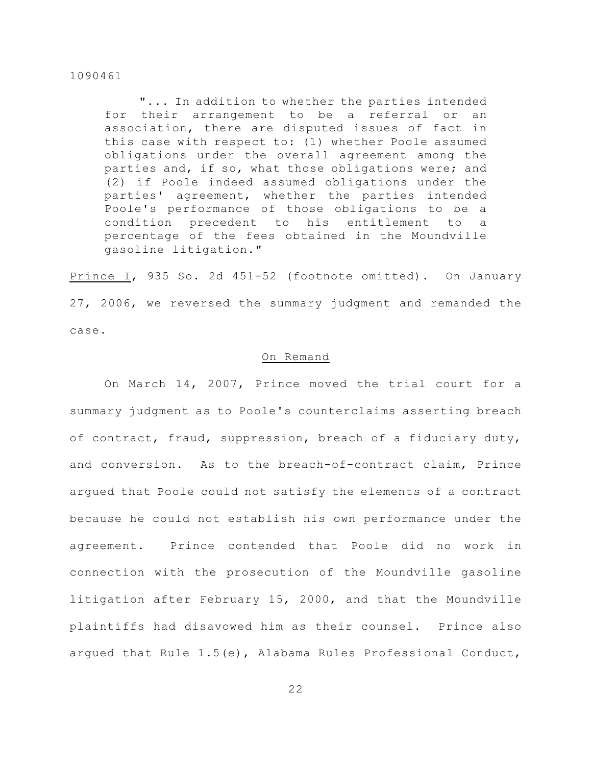"... In addition to whether the parties intended for their arrangement to be a referral or an association, there are disputed issues of fact in this case with respect to: (1) whether Poole assumed obligations under the overall agreement among the parties and, if so, what those obligations were; and (2) if Poole indeed assumed obligations under the parties' agreement, whether the parties intended Poole's performance of those obligations to be a condition precedent to his entitlement to a percentage of the fees obtained in the Moundville gasoline litigation."

Prince I, 935 So. 2d 451-52 (footnote omitted). On January 27, 2006, we reversed the summary judgment and remanded the case.

## On Remand

On March 14, 2007, Prince moved the trial court for a summary judgment as to Poole's counterclaims asserting breach of contract, fraud, suppression, breach of a fiduciary duty, and conversion. As to the breach-of-contract claim, Prince argued that Poole could not satisfy the elements of a contract because he could not establish his own performance under the agreement. Prince contended that Poole did no work in connection with the prosecution of the Moundville gasoline litigation after February 15, 2000, and that the Moundville plaintiffs had disavowed him as their counsel. Prince also argued that Rule 1.5(e), Alabama Rules Professional Conduct,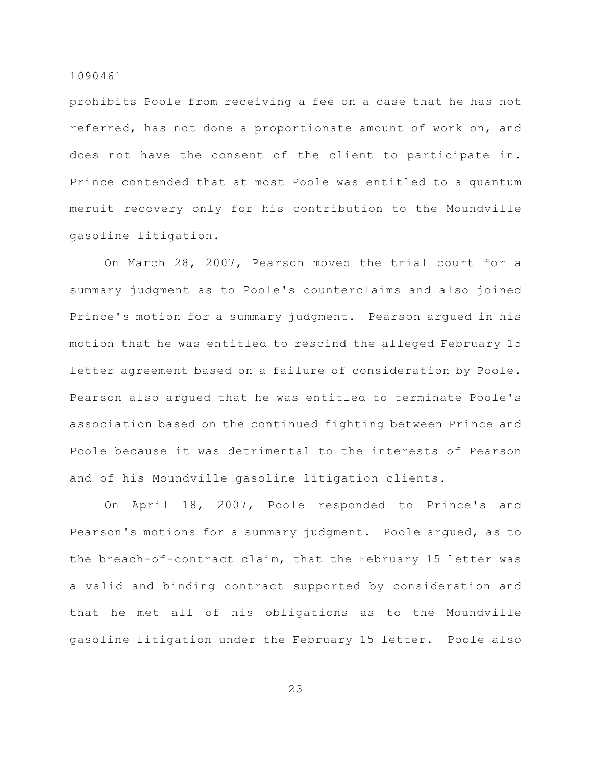prohibits Poole from receiving a fee on a case that he has not referred, has not done a proportionate amount of work on, and does not have the consent of the client to participate in. Prince contended that at most Poole was entitled to a quantum meruit recovery only for his contribution to the Moundville gasoline litigation.

On March 28, 2007, Pearson moved the trial court for a summary judgment as to Poole's counterclaims and also joined Prince's motion for a summary judgment. Pearson argued in his motion that he was entitled to rescind the alleged February 15 letter agreement based on a failure of consideration by Poole. Pearson also argued that he was entitled to terminate Poole's association based on the continued fighting between Prince and Poole because it was detrimental to the interests of Pearson and of his Moundville gasoline litigation clients.

On April 18, 2007, Poole responded to Prince's and Pearson's motions for a summary judgment. Poole argued, as to the breach-of-contract claim, that the February 15 letter was a valid and binding contract supported by consideration and that he met all of his obligations as to the Moundville gasoline litigation under the February 15 letter. Poole also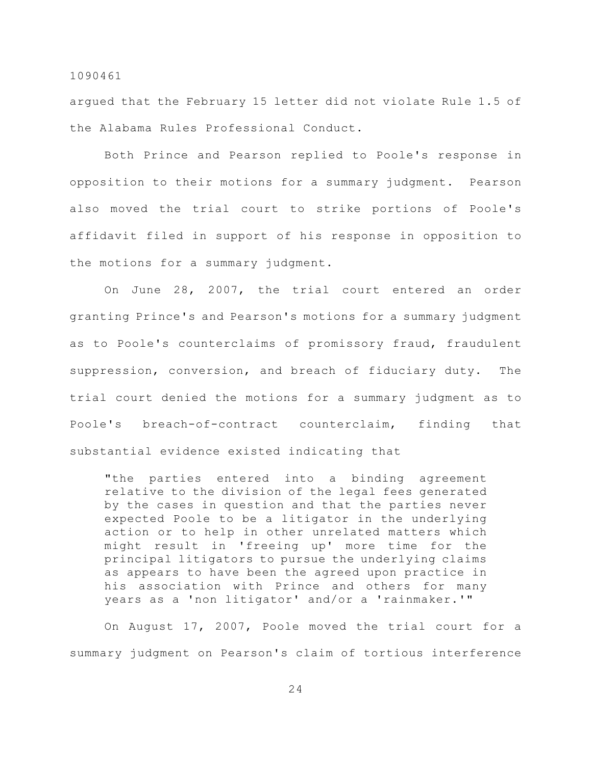argued that the February 15 letter did not violate Rule 1.5 of the Alabama Rules Professional Conduct.

Both Prince and Pearson replied to Poole's response in opposition to their motions for a summary judgment. Pearson also moved the trial court to strike portions of Poole's affidavit filed in support of his response in opposition to the motions for a summary judgment.

On June 28, 2007, the trial court entered an order granting Prince's and Pearson's motions for a summary judgment as to Poole's counterclaims of promissory fraud, fraudulent suppression, conversion, and breach of fiduciary duty. The trial court denied the motions for a summary judgment as to Poole's breach-of-contract counterclaim, finding that substantial evidence existed indicating that

"the parties entered into a binding agreement relative to the division of the legal fees generated by the cases in question and that the parties never expected Poole to be a litigator in the underlying action or to help in other unrelated matters which might result in 'freeing up' more time for the principal litigators to pursue the underlying claims as appears to have been the agreed upon practice in his association with Prince and others for many years as a 'non litigator' and/or a 'rainmaker.'"

On August 17, 2007, Poole moved the trial court for a summary judgment on Pearson's claim of tortious interference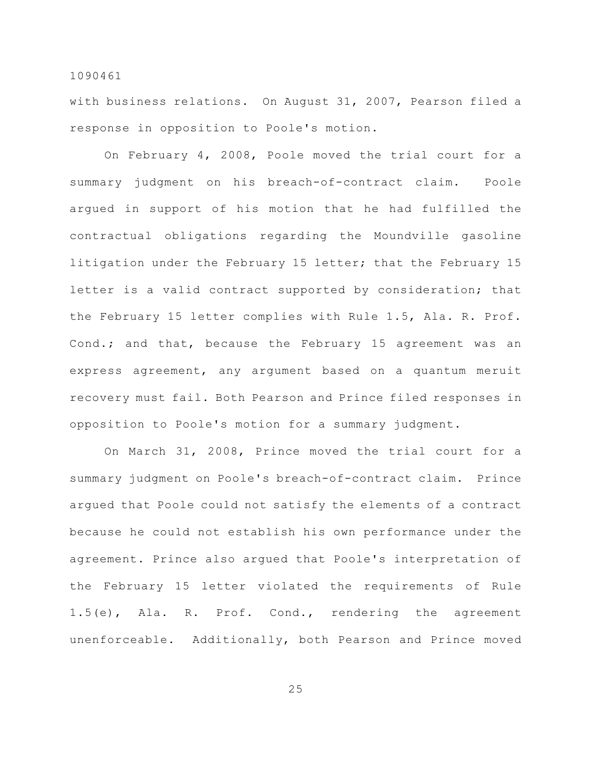with business relations. On August 31, 2007, Pearson filed a response in opposition to Poole's motion.

On February 4, 2008, Poole moved the trial court for a summary judgment on his breach-of-contract claim. Poole argued in support of his motion that he had fulfilled the contractual obligations regarding the Moundville gasoline litigation under the February 15 letter; that the February 15 letter is a valid contract supported by consideration; that the February 15 letter complies with Rule 1.5, Ala. R. Prof. Cond.; and that, because the February 15 agreement was an express agreement, any argument based on a quantum meruit recovery must fail. Both Pearson and Prince filed responses in opposition to Poole's motion for a summary judgment.

On March 31, 2008, Prince moved the trial court for a summary judgment on Poole's breach-of-contract claim. Prince argued that Poole could not satisfy the elements of a contract because he could not establish his own performance under the agreement. Prince also argued that Poole's interpretation of the February 15 letter violated the requirements of Rule 1.5(e), Ala. R. Prof. Cond., rendering the agreement unenforceable. Additionally, both Pearson and Prince moved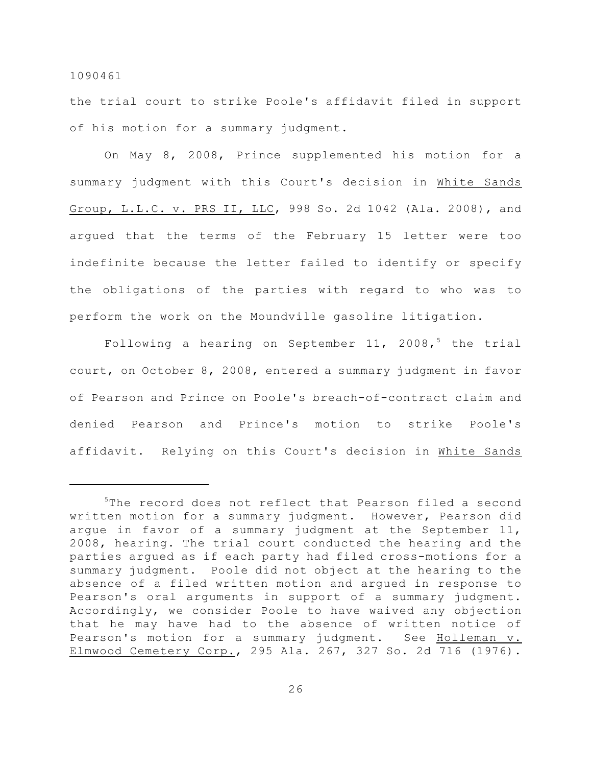the trial court to strike Poole's affidavit filed in support of his motion for a summary judgment.

On May 8, 2008, Prince supplemented his motion for a summary judgment with this Court's decision in White Sands Group, L.L.C. v. PRS II, LLC, 998 So. 2d 1042 (Ala. 2008), and argued that the terms of the February 15 letter were too indefinite because the letter failed to identify or specify the obligations of the parties with regard to who was to perform the work on the Moundville gasoline litigation.

Following a hearing on September 11, 2008,<sup>5</sup> the trial court, on October 8, 2008, entered a summary judgment in favor of Pearson and Prince on Poole's breach-of-contract claim and denied Pearson and Prince's motion to strike Poole's affidavit. Relying on this Court's decision in White Sands

 $5$ The record does not reflect that Pearson filed a second written motion for a summary judgment. However, Pearson did argue in favor of a summary judgment at the September 11, 2008, hearing. The trial court conducted the hearing and the parties argued as if each party had filed cross-motions for a summary judgment. Poole did not object at the hearing to the absence of a filed written motion and argued in response to Pearson's oral arguments in support of a summary judgment. Accordingly, we consider Poole to have waived any objection that he may have had to the absence of written notice of Pearson's motion for a summary judgment. See Holleman v. Elmwood Cemetery Corp., 295 Ala. 267, 327 So. 2d 716 (1976).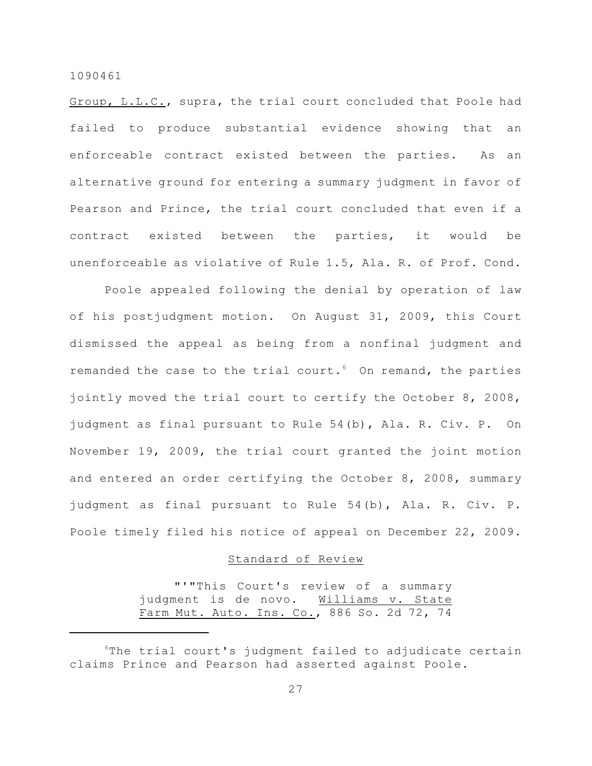Group, L.L.C., supra, the trial court concluded that Poole had failed to produce substantial evidence showing that an enforceable contract existed between the parties. As an alternative ground for entering a summary judgment in favor of Pearson and Prince, the trial court concluded that even if a contract existed between the parties, it would be unenforceable as violative of Rule 1.5, Ala. R. of Prof. Cond.

Poole appealed following the denial by operation of law of his postjudgment motion. On August 31, 2009, this Court dismissed the appeal as being from a nonfinal judgment and remanded the case to the trial court. $6$  On remand, the parties jointly moved the trial court to certify the October 8, 2008, judgment as final pursuant to Rule 54(b), Ala. R. Civ. P. On November 19, 2009, the trial court granted the joint motion and entered an order certifying the October 8, 2008, summary judgment as final pursuant to Rule 54(b), Ala. R. Civ. P. Poole timely filed his notice of appeal on December 22, 2009.

# Standard of Review

"'"This Court's review of a summary judgment is de novo. Williams v. State Farm Mut. Auto. Ins. Co., 886 So. 2d 72, 74

 ${}^6$ The trial court's judgment failed to adjudicate certain claims Prince and Pearson had asserted against Poole.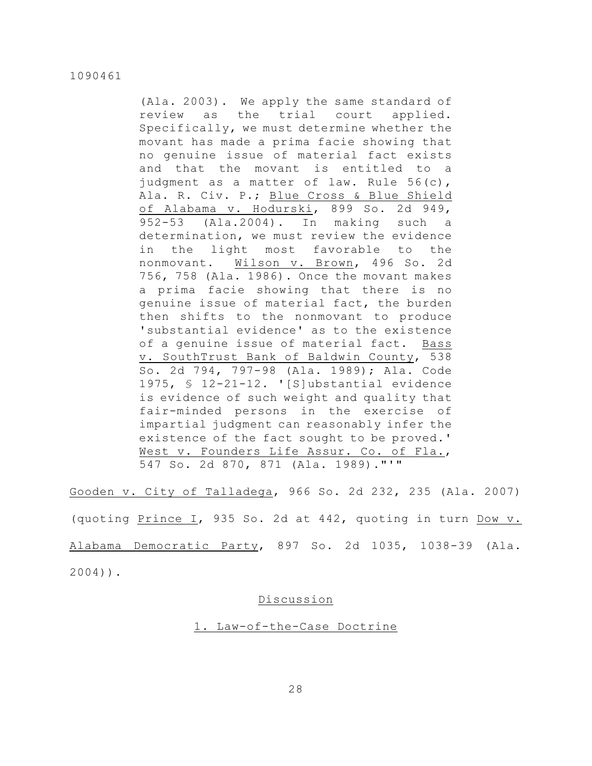(Ala. 2003). We apply the same standard of review as the trial court applied. Specifically, we must determine whether the movant has made a prima facie showing that no genuine issue of material fact exists and that the movant is entitled to a judgment as a matter of law. Rule 56(c), Ala. R. Civ. P.; Blue Cross & Blue Shield of Alabama v. Hodurski, 899 So. 2d 949, 952-53 (Ala.2004). In making such a determination, we must review the evidence in the light most favorable to the nonmovant. Wilson v. Brown, 496 So. 2d 756, 758 (Ala. 1986). Once the movant makes a prima facie showing that there is no genuine issue of material fact, the burden then shifts to the nonmovant to produce 'substantial evidence' as to the existence of a genuine issue of material fact. Bass v. SouthTrust Bank of Baldwin County, 538 So. 2d 794, 797-98 (Ala. 1989); Ala. Code 1975, § 12-21-12. '[S]ubstantial evidence is evidence of such weight and quality that fair-minded persons in the exercise of impartial judgment can reasonably infer the existence of the fact sought to be proved.' West v. Founders Life Assur. Co. of Fla., 547 So. 2d 870, 871 (Ala. 1989)."'"

Gooden v. City of Talladega, 966 So. 2d 232, 235 (Ala. 2007) (quoting Prince I, 935 So. 2d at 442, quoting in turn Dow v. Alabama Democratic Party, 897 So. 2d 1035, 1038-39 (Ala. 2004)).

## Discussion

1. Law-of-the-Case Doctrine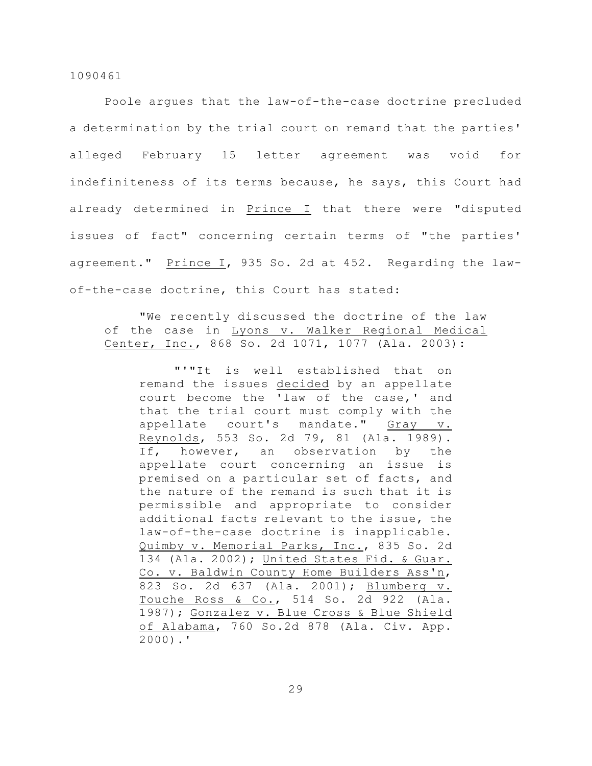Poole argues that the law-of-the-case doctrine precluded a determination by the trial court on remand that the parties' alleged February 15 letter agreement was void for indefiniteness of its terms because, he says, this Court had already determined in Prince I that there were "disputed issues of fact" concerning certain terms of "the parties' agreement." Prince I, 935 So. 2d at 452. Regarding the lawof-the-case doctrine, this Court has stated:

"We recently discussed the doctrine of the law of the case in Lyons v. Walker Regional Medical Center, Inc., 868 So. 2d 1071, 1077 (Ala. 2003):

"'"It is well established that on remand the issues decided by an appellate court become the 'law of the case,' and that the trial court must comply with the appellate court's mandate." Gray v. Reynolds, 553 So. 2d 79, 81 (Ala. 1989). If, however, an observation by the appellate court concerning an issue is premised on a particular set of facts, and the nature of the remand is such that it is permissible and appropriate to consider additional facts relevant to the issue, the law-of-the-case doctrine is inapplicable. Quimby v. Memorial Parks, Inc., 835 So. 2d 134 (Ala. 2002); United States Fid. & Guar. Co. v. Baldwin County Home Builders Ass'n, 823 So. 2d 637 (Ala. 2001); Blumberg v. Touche Ross & Co., 514 So. 2d 922 (Ala. 1987); Gonzalez v. Blue Cross & Blue Shield of Alabama, 760 So.2d 878 (Ala. Civ. App. 2000).'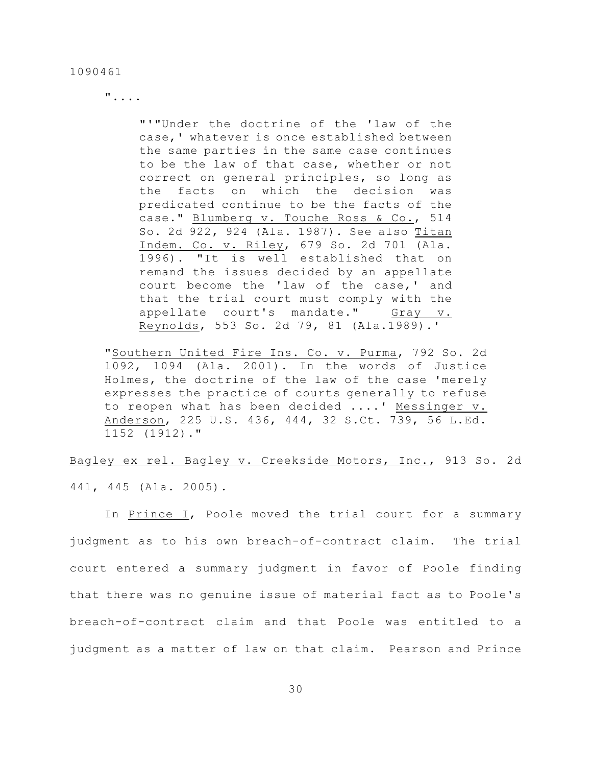"....

"'"Under the doctrine of the 'law of the case,' whatever is once established between the same parties in the same case continues to be the law of that case, whether or not correct on general principles, so long as the facts on which the decision was predicated continue to be the facts of the case." Blumberg v. Touche Ross & Co., 514 So. 2d 922, 924 (Ala. 1987). See also Titan Indem. Co. v. Riley, 679 So. 2d 701 (Ala. 1996). "It is well established that on remand the issues decided by an appellate court become the 'law of the case,' and that the trial court must comply with the appellate court's mandate." Gray v. Reynolds, 553 So. 2d 79, 81 (Ala.1989).'

"Southern United Fire Ins. Co. v. Purma, 792 So. 2d 1092, 1094 (Ala. 2001). In the words of Justice Holmes, the doctrine of the law of the case 'merely expresses the practice of courts generally to refuse to reopen what has been decided ....' Messinger v. Anderson, 225 U.S. 436, 444, 32 S.Ct. 739, 56 L.Ed. 1152 (1912)."

Bagley ex rel. Bagley v. Creekside Motors, Inc., 913 So. 2d 441, 445 (Ala. 2005).

In Prince I, Poole moved the trial court for a summary judgment as to his own breach-of-contract claim. The trial court entered a summary judgment in favor of Poole finding that there was no genuine issue of material fact as to Poole's breach-of-contract claim and that Poole was entitled to a judgment as a matter of law on that claim. Pearson and Prince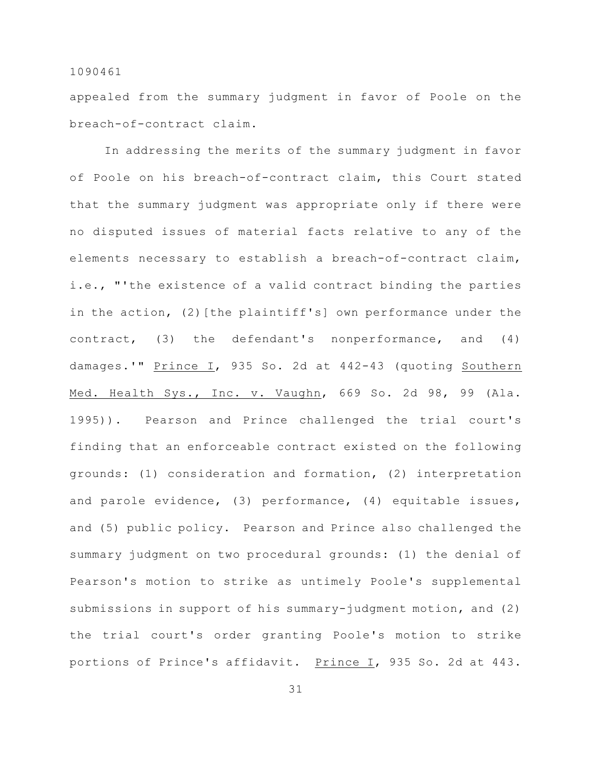appealed from the summary judgment in favor of Poole on the breach-of-contract claim.

In addressing the merits of the summary judgment in favor of Poole on his breach-of-contract claim, this Court stated that the summary judgment was appropriate only if there were no disputed issues of material facts relative to any of the elements necessary to establish a breach-of-contract claim, i.e., "'the existence of a valid contract binding the parties in the action, (2) [the plaintiff's] own performance under the contract, (3) the defendant's nonperformance, and (4) damages.'" Prince I, 935 So. 2d at 442-43 (quoting Southern Med. Health Sys., Inc. v. Vaughn, 669 So. 2d 98, 99 (Ala. 1995)). Pearson and Prince challenged the trial court's finding that an enforceable contract existed on the following grounds: (1) consideration and formation, (2) interpretation and parole evidence, (3) performance, (4) equitable issues, and (5) public policy. Pearson and Prince also challenged the summary judgment on two procedural grounds: (1) the denial of Pearson's motion to strike as untimely Poole's supplemental submissions in support of his summary-judgment motion, and (2) the trial court's order granting Poole's motion to strike portions of Prince's affidavit. Prince I, 935 So. 2d at 443.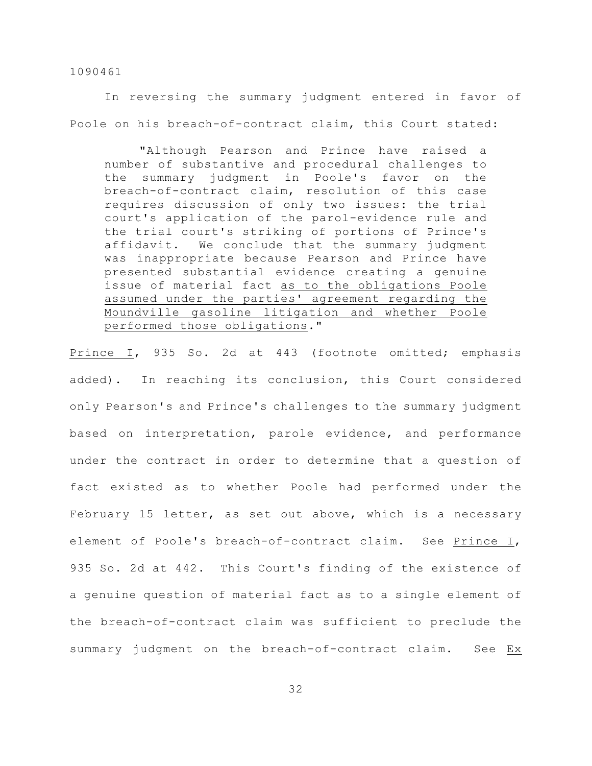In reversing the summary judgment entered in favor of Poole on his breach-of-contract claim, this Court stated:

"Although Pearson and Prince have raised a number of substantive and procedural challenges to the summary judgment in Poole's favor on the breach-of-contract claim, resolution of this case requires discussion of only two issues: the trial court's application of the parol-evidence rule and the trial court's striking of portions of Prince's affidavit. We conclude that the summary judgment was inappropriate because Pearson and Prince have presented substantial evidence creating a genuine issue of material fact as to the obligations Poole assumed under the parties' agreement regarding the Moundville gasoline litigation and whether Poole performed those obligations."

Prince I, 935 So. 2d at 443 (footnote omitted; emphasis added). In reaching its conclusion, this Court considered only Pearson's and Prince's challenges to the summary judgment based on interpretation, parole evidence, and performance under the contract in order to determine that a question of fact existed as to whether Poole had performed under the February 15 letter, as set out above, which is a necessary element of Poole's breach-of-contract claim. See Prince I, 935 So. 2d at 442. This Court's finding of the existence of a genuine question of material fact as to a single element of the breach-of-contract claim was sufficient to preclude the summary judgment on the breach-of-contract claim. See Ex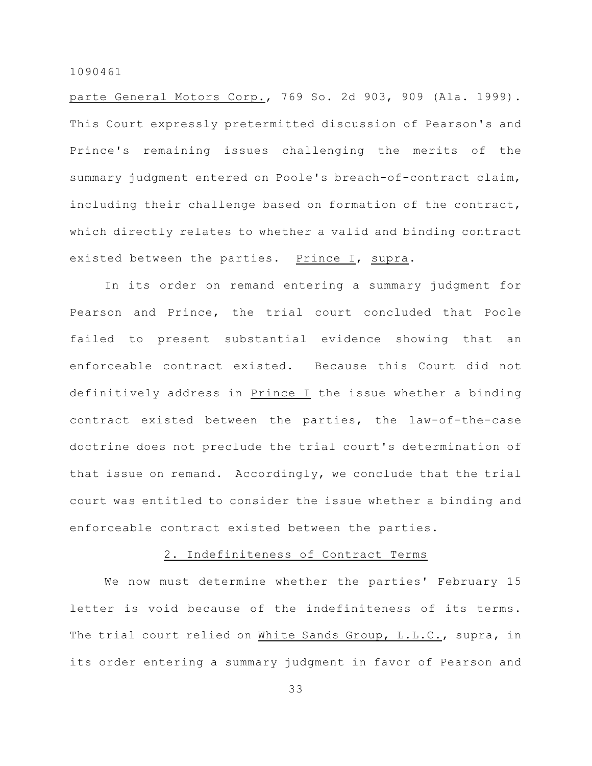parte General Motors Corp., 769 So. 2d 903, 909 (Ala. 1999). This Court expressly pretermitted discussion of Pearson's and Prince's remaining issues challenging the merits of the summary judgment entered on Poole's breach-of-contract claim, including their challenge based on formation of the contract, which directly relates to whether a valid and binding contract existed between the parties. Prince I, supra.

In its order on remand entering a summary judgment for Pearson and Prince, the trial court concluded that Poole failed to present substantial evidence showing that an enforceable contract existed. Because this Court did not definitively address in Prince I the issue whether a binding contract existed between the parties, the law-of-the-case doctrine does not preclude the trial court's determination of that issue on remand. Accordingly, we conclude that the trial court was entitled to consider the issue whether a binding and enforceable contract existed between the parties.

# 2. Indefiniteness of Contract Terms

We now must determine whether the parties' February 15 letter is void because of the indefiniteness of its terms. The trial court relied on White Sands Group, L.L.C., supra, in its order entering a summary judgment in favor of Pearson and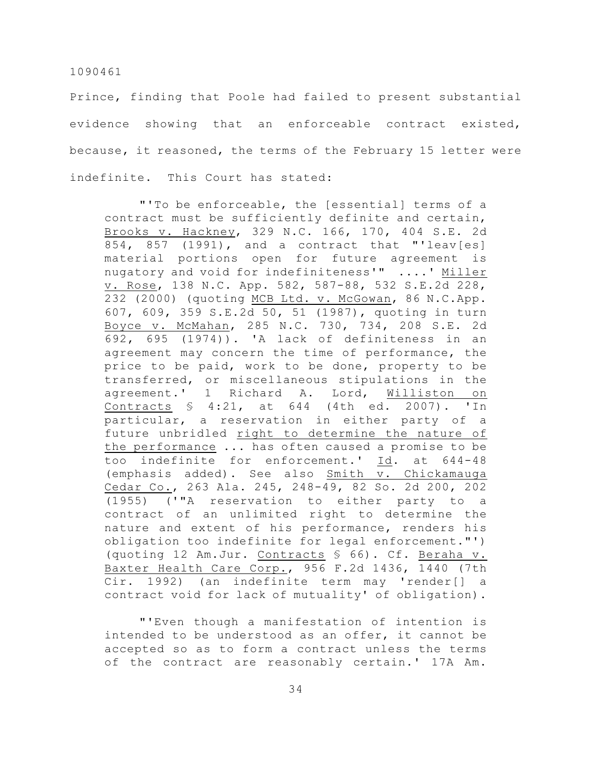Prince, finding that Poole had failed to present substantial evidence showing that an enforceable contract existed, because, it reasoned, the terms of the February 15 letter were indefinite. This Court has stated:

"'To be enforceable, the [essential] terms of a contract must be sufficiently definite and certain, Brooks v. Hackney, 329 N.C. 166, 170, 404 S.E. 2d 854, 857 (1991), and a contract that "'leav[es] material portions open for future agreement is nugatory and void for indefiniteness'" ....' Miller v. Rose, 138 N.C. App. 582, 587-88, 532 S.E.2d 228, 232 (2000) (quoting MCB Ltd. v. McGowan, 86 N.C.App. 607, 609, 359 S.E.2d 50, 51 (1987), quoting in turn Boyce v. McMahan, 285 N.C. 730, 734, 208 S.E. 2d 692, 695 (1974)). 'A lack of definiteness in an agreement may concern the time of performance, the price to be paid, work to be done, property to be transferred, or miscellaneous stipulations in the agreement.' 1 Richard A. Lord, Williston on Contracts § 4:21, at 644 (4th ed. 2007). 'In particular, a reservation in either party of a future unbridled right to determine the nature of the performance ... has often caused a promise to be too indefinite for enforcement.' Id. at 644-48 (emphasis added). See also Smith v. Chickamauga Cedar Co., 263 Ala. 245, 248-49, 82 So. 2d 200, 202 (1955) ('"A reservation to either party to a contract of an unlimited right to determine the nature and extent of his performance, renders his obligation too indefinite for legal enforcement."') (quoting 12 Am.Jur. Contracts § 66). Cf. Beraha v. Baxter Health Care Corp., 956 F.2d 1436, 1440 (7th Cir. 1992) (an indefinite term may 'render[] a contract void for lack of mutuality' of obligation).

"'Even though a manifestation of intention is intended to be understood as an offer, it cannot be accepted so as to form a contract unless the terms of the contract are reasonably certain.' 17A Am.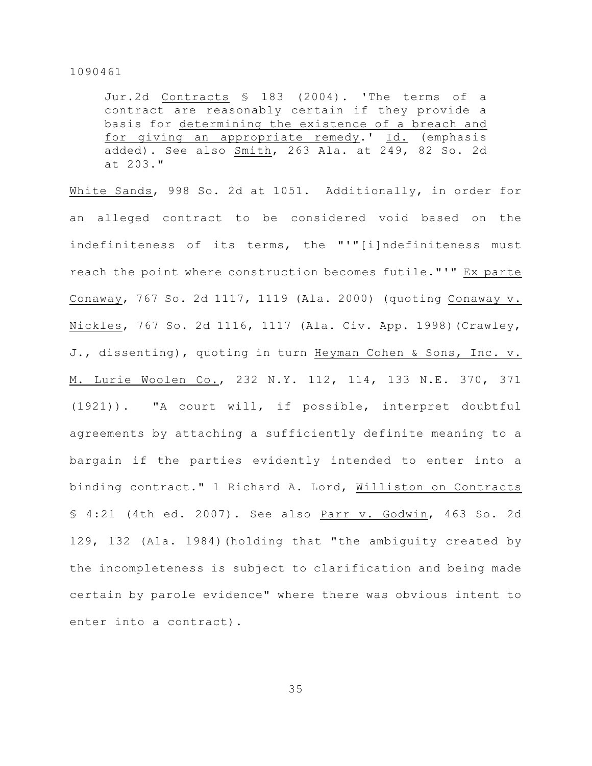Jur.2d Contracts § 183 (2004). 'The terms of a contract are reasonably certain if they provide a basis for determining the existence of a breach and for giving an appropriate remedy.' Id. (emphasis added). See also Smith, 263 Ala. at 249, 82 So. 2d at 203."

White Sands, 998 So. 2d at 1051. Additionally, in order for an alleged contract to be considered void based on the indefiniteness of its terms, the "'"[i]ndefiniteness must reach the point where construction becomes futile."'" Ex parte Conaway, 767 So. 2d 1117, 1119 (Ala. 2000) (quoting Conaway v. Nickles, 767 So. 2d 1116, 1117 (Ala. Civ. App. 1998)(Crawley, J., dissenting), quoting in turn Heyman Cohen & Sons, Inc. v. M. Lurie Woolen Co., 232 N.Y. 112, 114, 133 N.E. 370, 371 (1921)). "A court will, if possible, interpret doubtful agreements by attaching a sufficiently definite meaning to a bargain if the parties evidently intended to enter into a binding contract." 1 Richard A. Lord, Williston on Contracts § 4:21 (4th ed. 2007). See also Parr v. Godwin, 463 So. 2d 129, 132 (Ala. 1984)(holding that "the ambiguity created by the incompleteness is subject to clarification and being made certain by parole evidence" where there was obvious intent to enter into a contract).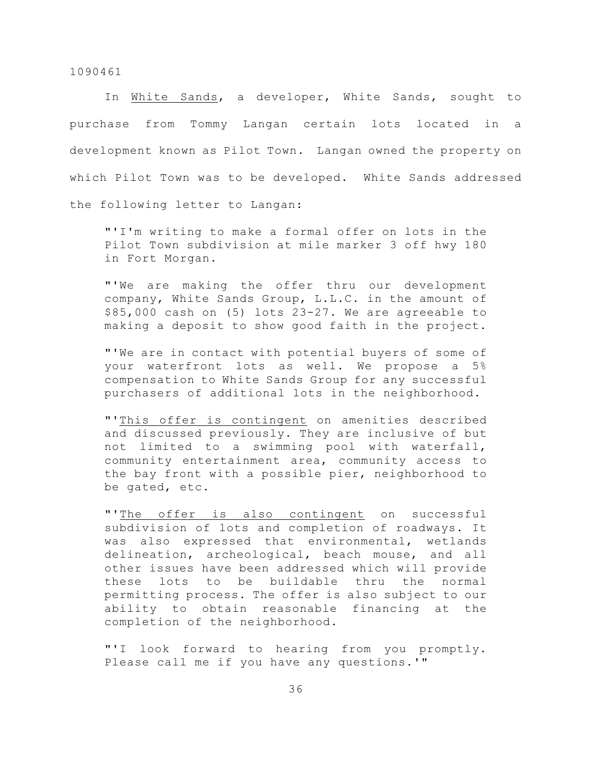In White Sands, a developer, White Sands, sought to purchase from Tommy Langan certain lots located in a development known as Pilot Town. Langan owned the property on which Pilot Town was to be developed. White Sands addressed the following letter to Langan:

"'I'm writing to make a formal offer on lots in the Pilot Town subdivision at mile marker 3 off hwy 180 in Fort Morgan.

"'We are making the offer thru our development company, White Sands Group, L.L.C. in the amount of \$85,000 cash on (5) lots 23-27. We are agreeable to making a deposit to show good faith in the project.

"'We are in contact with potential buyers of some of your waterfront lots as well. We propose a 5% compensation to White Sands Group for any successful purchasers of additional lots in the neighborhood.

"'This offer is contingent on amenities described and discussed previously. They are inclusive of but not limited to a swimming pool with waterfall, community entertainment area, community access to the bay front with a possible pier, neighborhood to be gated, etc.

"'The offer is also contingent on successful subdivision of lots and completion of roadways. It was also expressed that environmental, wetlands delineation, archeological, beach mouse, and all other issues have been addressed which will provide these lots to be buildable thru the normal permitting process. The offer is also subject to our ability to obtain reasonable financing at the completion of the neighborhood.

"'I look forward to hearing from you promptly. Please call me if you have any questions.'"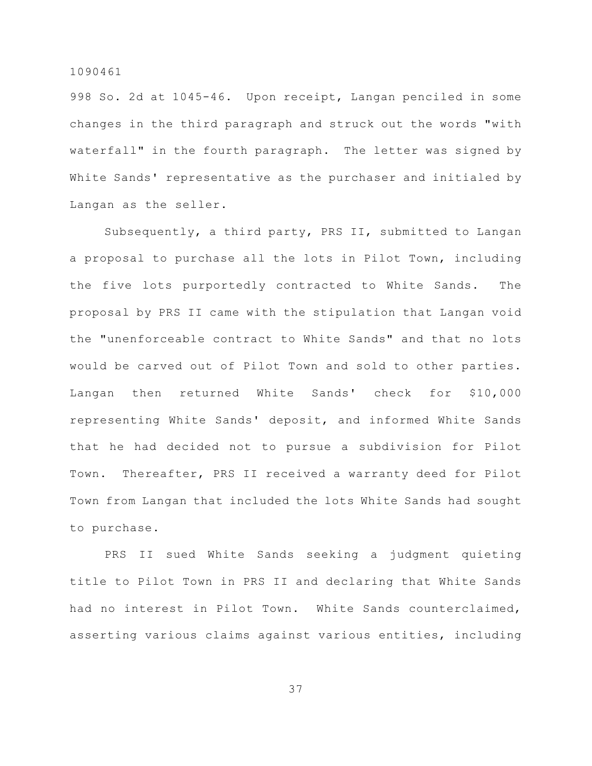998 So. 2d at 1045-46. Upon receipt, Langan penciled in some changes in the third paragraph and struck out the words "with waterfall" in the fourth paragraph. The letter was signed by White Sands' representative as the purchaser and initialed by Langan as the seller.

Subsequently, a third party, PRS II, submitted to Langan a proposal to purchase all the lots in Pilot Town, including the five lots purportedly contracted to White Sands. The proposal by PRS II came with the stipulation that Langan void the "unenforceable contract to White Sands" and that no lots would be carved out of Pilot Town and sold to other parties. Langan then returned White Sands' check for \$10,000 representing White Sands' deposit, and informed White Sands that he had decided not to pursue a subdivision for Pilot Town. Thereafter, PRS II received a warranty deed for Pilot Town from Langan that included the lots White Sands had sought to purchase.

PRS II sued White Sands seeking a judgment quieting title to Pilot Town in PRS II and declaring that White Sands had no interest in Pilot Town. White Sands counterclaimed, asserting various claims against various entities, including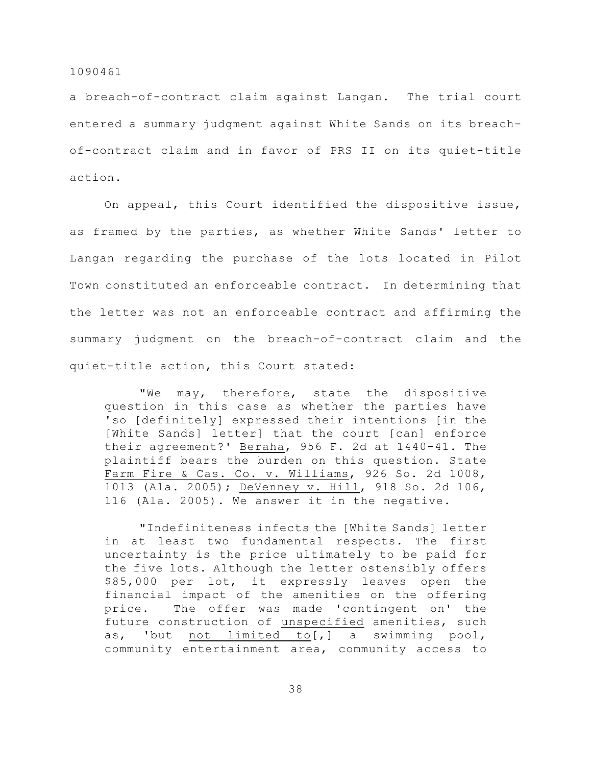a breach-of-contract claim against Langan. The trial court entered a summary judgment against White Sands on its breachof-contract claim and in favor of PRS II on its quiet-title action.

On appeal, this Court identified the dispositive issue, as framed by the parties, as whether White Sands' letter to Langan regarding the purchase of the lots located in Pilot Town constituted an enforceable contract. In determining that the letter was not an enforceable contract and affirming the summary judgment on the breach-of-contract claim and the quiet-title action, this Court stated:

"We may, therefore, state the dispositive question in this case as whether the parties have 'so [definitely] expressed their intentions [in the [White Sands] letter] that the court [can] enforce their agreement?' Beraha, 956 F. 2d at 1440-41. The plaintiff bears the burden on this question. State Farm Fire & Cas. Co. v. Williams, 926 So. 2d 1008, 1013 (Ala. 2005); DeVenney v. Hill, 918 So. 2d 106, 116 (Ala. 2005). We answer it in the negative.

"Indefiniteness infects the [White Sands] letter in at least two fundamental respects. The first uncertainty is the price ultimately to be paid for the five lots. Although the letter ostensibly offers \$85,000 per lot, it expressly leaves open the financial impact of the amenities on the offering price. The offer was made 'contingent on' the future construction of unspecified amenities, such as, 'but not limited to[,] a swimming pool, community entertainment area, community access to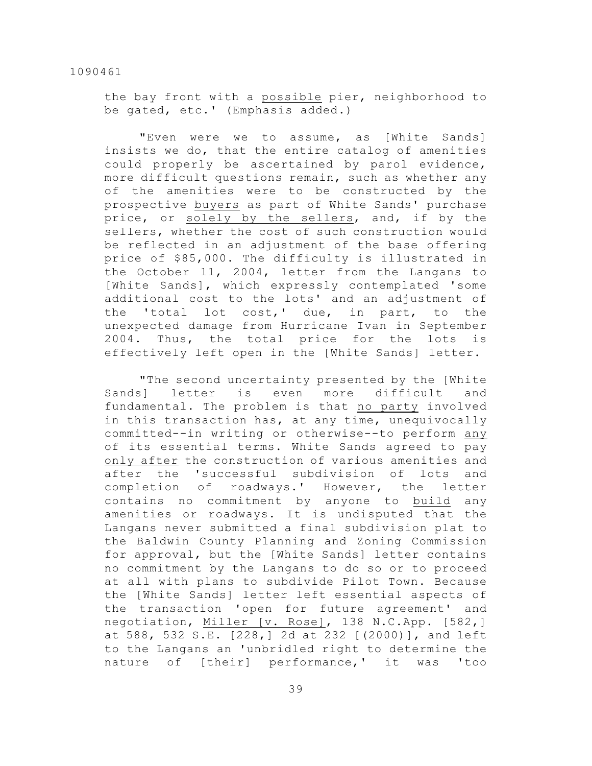the bay front with a possible pier, neighborhood to be gated, etc.' (Emphasis added.)

"Even were we to assume, as [White Sands] insists we do, that the entire catalog of amenities could properly be ascertained by parol evidence, more difficult questions remain, such as whether any of the amenities were to be constructed by the prospective buyers as part of White Sands' purchase price, or solely by the sellers, and, if by the sellers, whether the cost of such construction would be reflected in an adjustment of the base offering price of \$85,000. The difficulty is illustrated in the October 11, 2004, letter from the Langans to [White Sands], which expressly contemplated 'some additional cost to the lots' and an adjustment of the 'total lot cost,' due, in part, to the unexpected damage from Hurricane Ivan in September 2004. Thus, the total price for the lots is effectively left open in the [White Sands] letter.

"The second uncertainty presented by the [White Sands] letter is even more difficult and fundamental. The problem is that no party involved in this transaction has, at any time, unequivocally committed--in writing or otherwise--to perform any of its essential terms. White Sands agreed to pay only after the construction of various amenities and after the 'successful subdivision of lots and completion of roadways.' However, the letter contains no commitment by anyone to build any amenities or roadways. It is undisputed that the Langans never submitted a final subdivision plat to the Baldwin County Planning and Zoning Commission for approval, but the [White Sands] letter contains no commitment by the Langans to do so or to proceed at all with plans to subdivide Pilot Town. Because the [White Sands] letter left essential aspects of the transaction 'open for future agreement' and negotiation, Miller [v. Rose], 138 N.C.App. [582,] at 588, 532 S.E. [228,] 2d at 232 [(2000)], and left to the Langans an 'unbridled right to determine the nature of [their] performance,' it was 'too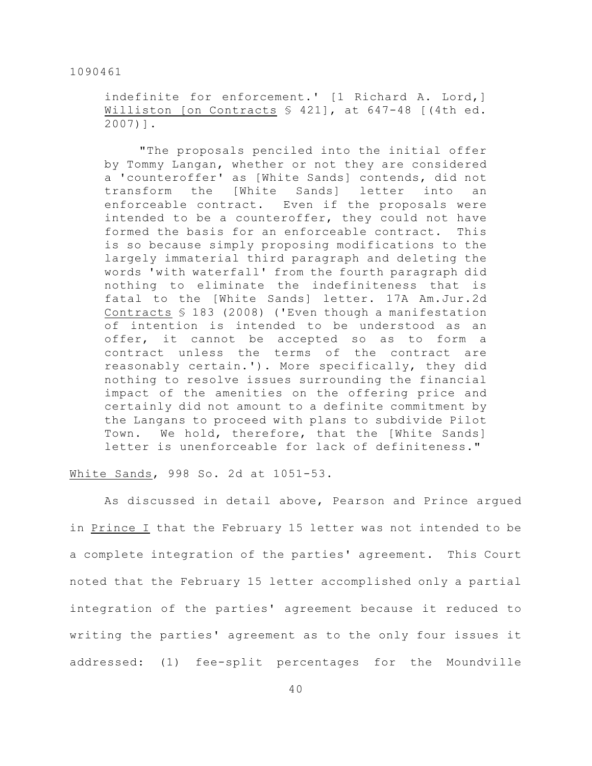indefinite for enforcement.' [1 Richard A. Lord,] Williston [on Contracts  $\frac{1}{2}$  421], at 647-48 [(4th ed. 2007)].

"The proposals penciled into the initial offer by Tommy Langan, whether or not they are considered a 'counteroffer' as [White Sands] contends, did not transform the [White Sands] letter into an enforceable contract. Even if the proposals were intended to be a counteroffer, they could not have formed the basis for an enforceable contract. This is so because simply proposing modifications to the largely immaterial third paragraph and deleting the words 'with waterfall' from the fourth paragraph did nothing to eliminate the indefiniteness that is fatal to the [White Sands] letter. 17A Am.Jur.2d Contracts § 183 (2008) ('Even though a manifestation of intention is intended to be understood as an offer, it cannot be accepted so as to form a contract unless the terms of the contract are reasonably certain.'). More specifically, they did nothing to resolve issues surrounding the financial impact of the amenities on the offering price and certainly did not amount to a definite commitment by the Langans to proceed with plans to subdivide Pilot Town. We hold, therefore, that the [White Sands] letter is unenforceable for lack of definiteness."

# White Sands, 998 So. 2d at 1051-53.

As discussed in detail above, Pearson and Prince argued in Prince I that the February 15 letter was not intended to be a complete integration of the parties' agreement. This Court noted that the February 15 letter accomplished only a partial integration of the parties' agreement because it reduced to writing the parties' agreement as to the only four issues it addressed: (1) fee-split percentages for the Moundville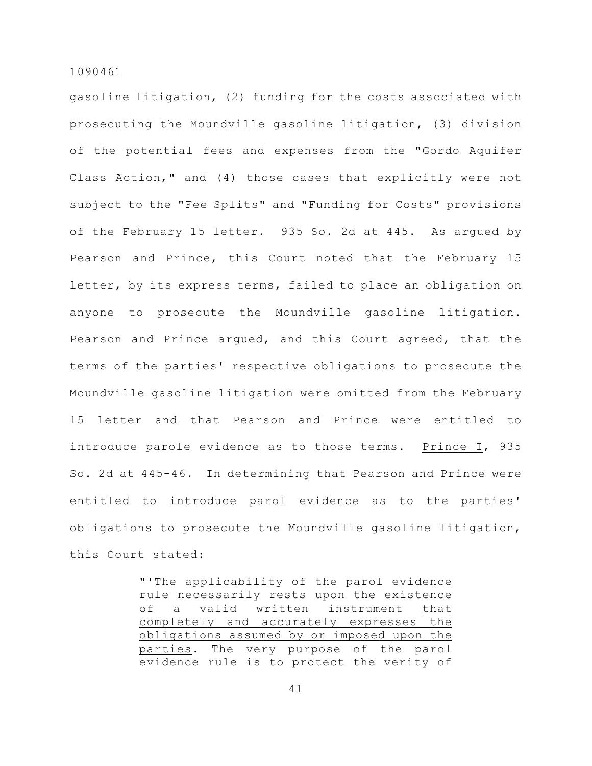gasoline litigation, (2) funding for the costs associated with prosecuting the Moundville gasoline litigation, (3) division of the potential fees and expenses from the "Gordo Aquifer Class Action," and (4) those cases that explicitly were not subject to the "Fee Splits" and "Funding for Costs" provisions of the February 15 letter. 935 So. 2d at 445. As argued by Pearson and Prince, this Court noted that the February 15 letter, by its express terms, failed to place an obligation on anyone to prosecute the Moundville gasoline litigation. Pearson and Prince argued, and this Court agreed, that the terms of the parties' respective obligations to prosecute the Moundville gasoline litigation were omitted from the February 15 letter and that Pearson and Prince were entitled to introduce parole evidence as to those terms. Prince I, 935 So. 2d at 445-46. In determining that Pearson and Prince were entitled to introduce parol evidence as to the parties' obligations to prosecute the Moundville gasoline litigation, this Court stated:

> "'The applicability of the parol evidence rule necessarily rests upon the existence of a valid written instrument that completely and accurately expresses the obligations assumed by or imposed upon the parties. The very purpose of the parol evidence rule is to protect the verity of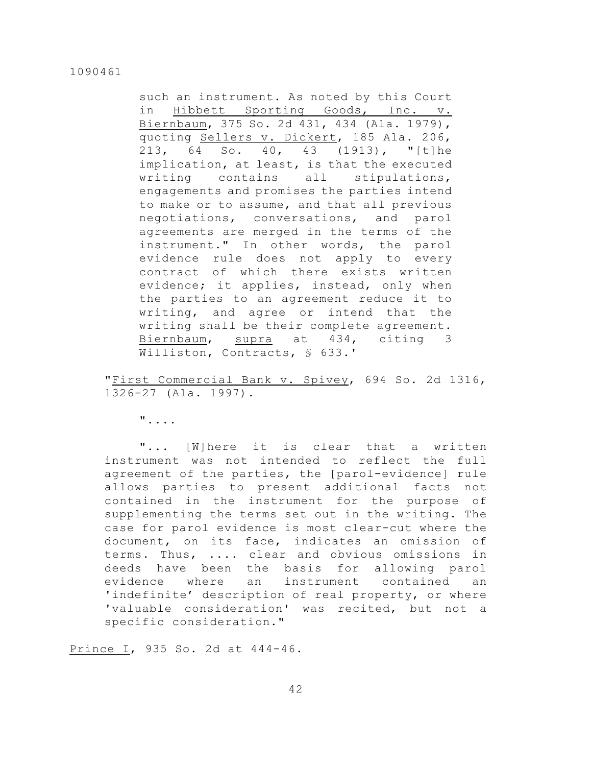such an instrument. As noted by this Court in Hibbett Sporting Goods, Inc. v. Biernbaum, 375 So. 2d 431, 434 (Ala. 1979), quoting Sellers v. Dickert, 185 Ala. 206, 213, 64 So. 40, 43 (1913), "[t]he implication, at least, is that the executed writing contains all stipulations, engagements and promises the parties intend to make or to assume, and that all previous negotiations, conversations, and parol agreements are merged in the terms of the instrument." In other words, the parol evidence rule does not apply to every contract of which there exists written evidence; it applies, instead, only when the parties to an agreement reduce it to writing, and agree or intend that the writing shall be their complete agreement. Biernbaum, supra at 434, citing 3 Williston, Contracts, § 633.'

"First Commercial Bank v. Spivey, 694 So. 2d 1316, 1326-27 (Ala. 1997).

"....

"... [W]here it is clear that a written instrument was not intended to reflect the full agreement of the parties, the [parol-evidence] rule allows parties to present additional facts not contained in the instrument for the purpose of supplementing the terms set out in the writing. The case for parol evidence is most clear-cut where the document, on its face, indicates an omission of terms. Thus, .... clear and obvious omissions in deeds have been the basis for allowing parol evidence where an instrument contained an 'indefinite' description of real property, or where 'valuable consideration' was recited, but not a specific consideration."

Prince I, 935 So. 2d at 444-46.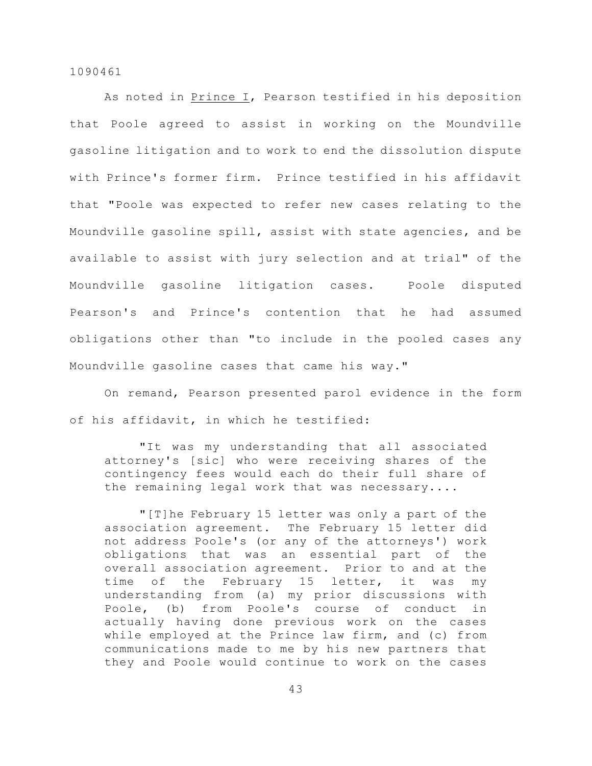As noted in Prince I, Pearson testified in his deposition that Poole agreed to assist in working on the Moundville gasoline litigation and to work to end the dissolution dispute with Prince's former firm. Prince testified in his affidavit that "Poole was expected to refer new cases relating to the Moundville gasoline spill, assist with state agencies, and be available to assist with jury selection and at trial" of the Moundville gasoline litigation cases. Poole disputed Pearson's and Prince's contention that he had assumed obligations other than "to include in the pooled cases any Moundville gasoline cases that came his way."

On remand, Pearson presented parol evidence in the form of his affidavit, in which he testified:

"It was my understanding that all associated attorney's [sic] who were receiving shares of the contingency fees would each do their full share of the remaining legal work that was necessary....

"[T]he February 15 letter was only a part of the association agreement. The February 15 letter did not address Poole's (or any of the attorneys') work obligations that was an essential part of the overall association agreement. Prior to and at the time of the February 15 letter, it was my understanding from (a) my prior discussions with Poole, (b) from Poole's course of conduct in actually having done previous work on the cases while employed at the Prince law firm, and (c) from communications made to me by his new partners that they and Poole would continue to work on the cases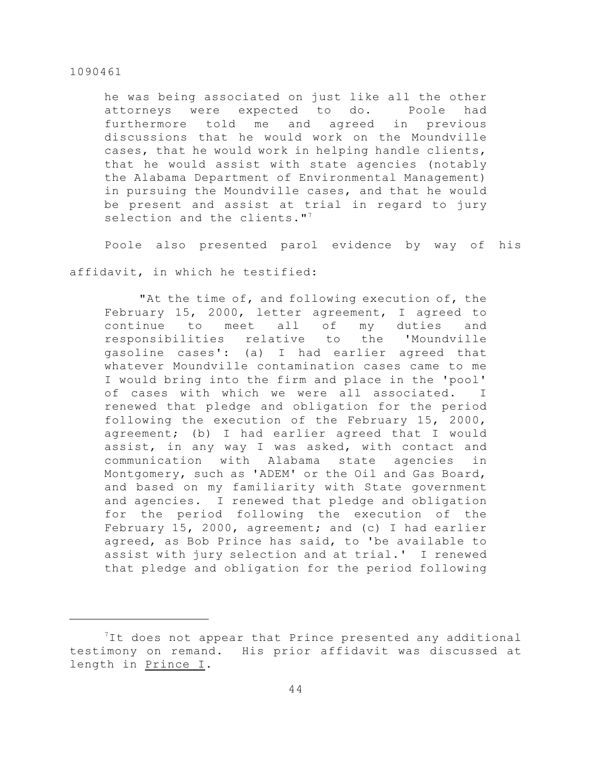he was being associated on just like all the other attorneys were expected to do. Poole had furthermore told me and agreed in previous discussions that he would work on the Moundville cases, that he would work in helping handle clients, that he would assist with state agencies (notably the Alabama Department of Environmental Management) in pursuing the Moundville cases, and that he would be present and assist at trial in regard to jury selection and the clients."<sup>7</sup>

Poole also presented parol evidence by way of his

affidavit, in which he testified:

"At the time of, and following execution of, the February 15, 2000, letter agreement, I agreed to continue to meet all of my duties and responsibilities relative to the 'Moundville gasoline cases': (a) I had earlier agreed that whatever Moundville contamination cases came to me I would bring into the firm and place in the 'pool' of cases with which we were all associated. I renewed that pledge and obligation for the period following the execution of the February 15, 2000, agreement; (b) I had earlier agreed that I would assist, in any way I was asked, with contact and communication with Alabama state agencies in Montgomery, such as 'ADEM' or the Oil and Gas Board, and based on my familiarity with State government and agencies. I renewed that pledge and obligation for the period following the execution of the February 15, 2000, agreement; and (c) I had earlier agreed, as Bob Prince has said, to 'be available to assist with jury selection and at trial.' I renewed that pledge and obligation for the period following

 ${}^{7}$ It does not appear that Prince presented any additional testimony on remand. His prior affidavit was discussed at length in Prince I.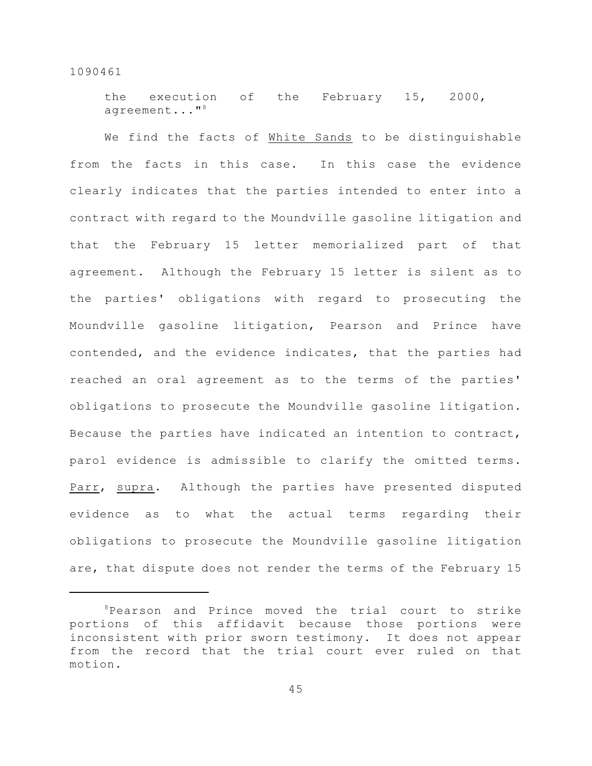the execution of the February 15, 2000, agreement..."<sup>8</sup>

We find the facts of White Sands to be distinguishable from the facts in this case. In this case the evidence clearly indicates that the parties intended to enter into a contract with regard to the Moundville gasoline litigation and that the February 15 letter memorialized part of that agreement. Although the February 15 letter is silent as to the parties' obligations with regard to prosecuting the Moundville gasoline litigation, Pearson and Prince have contended, and the evidence indicates, that the parties had reached an oral agreement as to the terms of the parties' obligations to prosecute the Moundville gasoline litigation. Because the parties have indicated an intention to contract, parol evidence is admissible to clarify the omitted terms. Parr, supra. Although the parties have presented disputed evidence as to what the actual terms regarding their obligations to prosecute the Moundville gasoline litigation are, that dispute does not render the terms of the February 15

 $P$ earson and Prince moved the trial court to strike portions of this affidavit because those portions were inconsistent with prior sworn testimony. It does not appear from the record that the trial court ever ruled on that motion.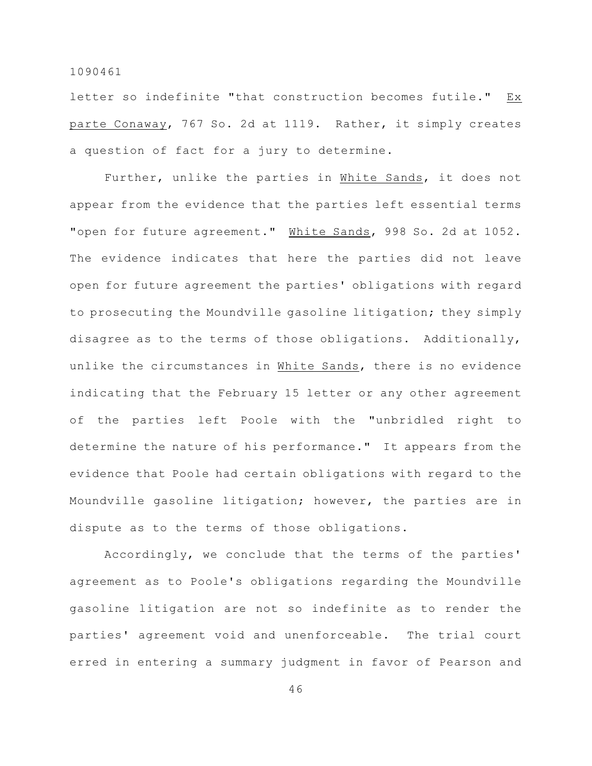letter so indefinite "that construction becomes futile." Ex parte Conaway, 767 So. 2d at 1119. Rather, it simply creates a question of fact for a jury to determine.

Further, unlike the parties in White Sands, it does not appear from the evidence that the parties left essential terms "open for future agreement." White Sands, 998 So. 2d at 1052. The evidence indicates that here the parties did not leave open for future agreement the parties' obligations with regard to prosecuting the Moundville gasoline litigation; they simply disagree as to the terms of those obligations. Additionally, unlike the circumstances in White Sands, there is no evidence indicating that the February 15 letter or any other agreement of the parties left Poole with the "unbridled right to determine the nature of his performance." It appears from the evidence that Poole had certain obligations with regard to the Moundville gasoline litigation; however, the parties are in dispute as to the terms of those obligations.

Accordingly, we conclude that the terms of the parties' agreement as to Poole's obligations regarding the Moundville gasoline litigation are not so indefinite as to render the parties' agreement void and unenforceable. The trial court erred in entering a summary judgment in favor of Pearson and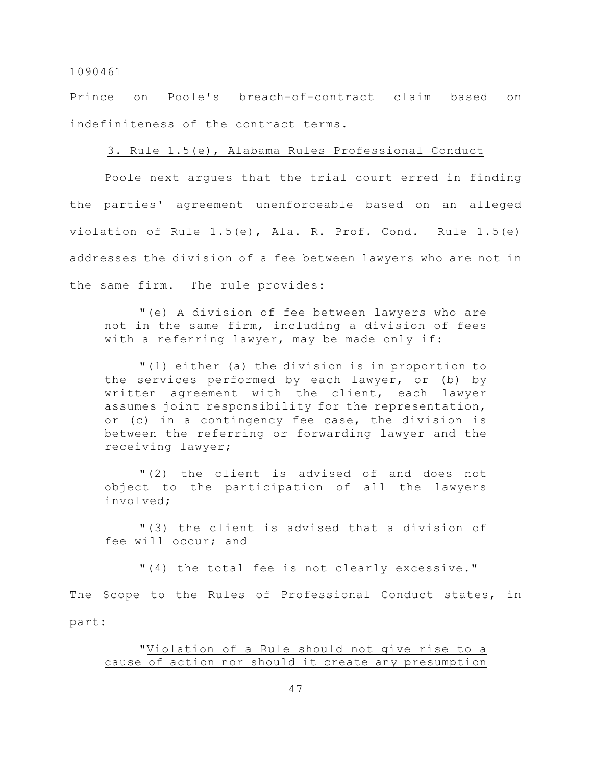Prince on Poole's breach-of-contract claim based on indefiniteness of the contract terms.

# 3. Rule 1.5(e), Alabama Rules Professional Conduct

Poole next argues that the trial court erred in finding the parties' agreement unenforceable based on an alleged violation of Rule 1.5(e), Ala. R. Prof. Cond. Rule 1.5(e) addresses the division of a fee between lawyers who are not in the same firm. The rule provides:

"(e) A division of fee between lawyers who are not in the same firm, including a division of fees with a referring lawyer, may be made only if:

"(1) either (a) the division is in proportion to the services performed by each lawyer, or (b) by written agreement with the client, each lawyer assumes joint responsibility for the representation, or (c) in a contingency fee case, the division is between the referring or forwarding lawyer and the receiving lawyer;

"(2) the client is advised of and does not object to the participation of all the lawyers involved;

"(3) the client is advised that a division of fee will occur; and

"(4) the total fee is not clearly excessive."

The Scope to the Rules of Professional Conduct states, in

part:

"Violation of a Rule should not give rise to a cause of action nor should it create any presumption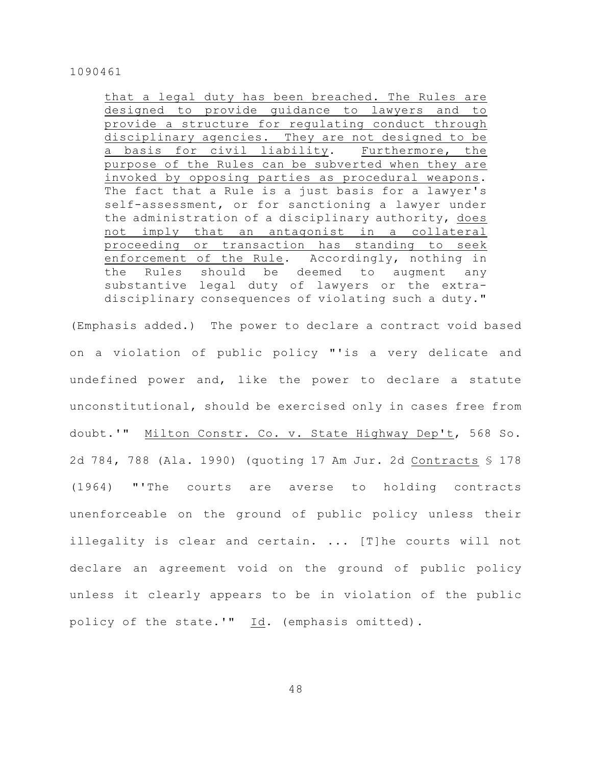that a legal duty has been breached. The Rules are designed to provide guidance to lawyers and to provide a structure for regulating conduct through disciplinary agencies. They are not designed to be a basis for civil liability. Furthermore, the purpose of the Rules can be subverted when they are invoked by opposing parties as procedural weapons. The fact that a Rule is a just basis for a lawyer's self-assessment, or for sanctioning a lawyer under the administration of a disciplinary authority, does not imply that an antagonist in a collateral proceeding or transaction has standing to seek enforcement of the Rule. Accordingly, nothing in the Rules should be deemed to augment any substantive legal duty of lawyers or the extradisciplinary consequences of violating such a duty."

(Emphasis added.) The power to declare a contract void based on a violation of public policy "'is a very delicate and undefined power and, like the power to declare a statute unconstitutional, should be exercised only in cases free from doubt.'" Milton Constr. Co. v. State Highway Dep't, 568 So. 2d 784, 788 (Ala. 1990) (quoting 17 Am Jur. 2d Contracts § 178 (1964) "'The courts are averse to holding contracts unenforceable on the ground of public policy unless their illegality is clear and certain. ... [T]he courts will not declare an agreement void on the ground of public policy unless it clearly appears to be in violation of the public policy of the state.'" Id. (emphasis omitted).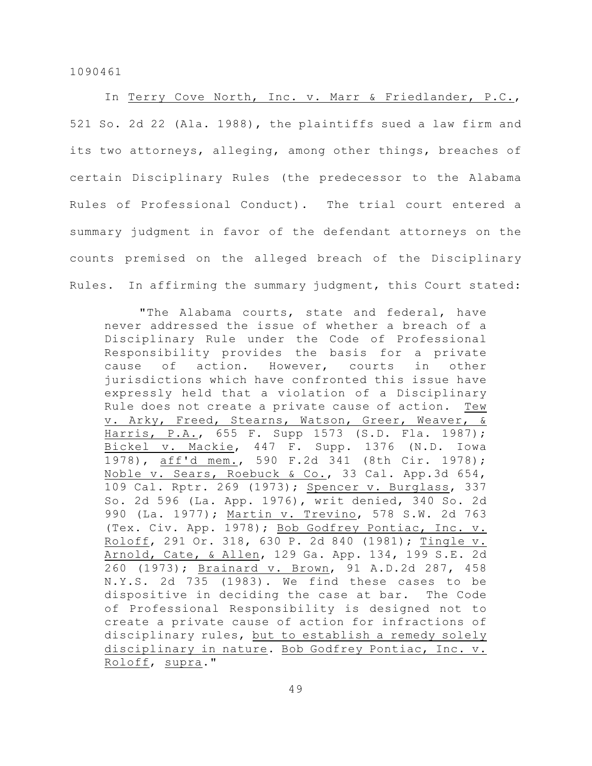In Terry Cove North, Inc. v. Marr & Friedlander, P.C., 521 So. 2d 22 (Ala. 1988), the plaintiffs sued a law firm and its two attorneys, alleging, among other things, breaches of certain Disciplinary Rules (the predecessor to the Alabama Rules of Professional Conduct). The trial court entered a summary judgment in favor of the defendant attorneys on the counts premised on the alleged breach of the Disciplinary Rules. In affirming the summary judgment, this Court stated:

"The Alabama courts, state and federal, have never addressed the issue of whether a breach of a Disciplinary Rule under the Code of Professional Responsibility provides the basis for a private cause of action. However, courts in other jurisdictions which have confronted this issue have expressly held that a violation of a Disciplinary Rule does not create a private cause of action. Tew v. Arky, Freed, Stearns, Watson, Greer, Weaver, & Harris, P.A., 655 F. Supp 1573 (S.D. Fla. 1987); Bickel v. Mackie, 447 F. Supp. 1376 (N.D. Iowa 1978), aff'd mem., 590 F.2d 341 (8th Cir. 1978); Noble v. Sears, Roebuck & Co., 33 Cal. App.3d 654, 109 Cal. Rptr. 269 (1973); Spencer v. Burglass, 337 So. 2d 596 (La. App. 1976), writ denied, 340 So. 2d 990 (La. 1977); Martin v. Trevino, 578 S.W. 2d 763 (Tex. Civ. App. 1978); Bob Godfrey Pontiac, Inc. v. Roloff, 291 Or. 318, 630 P. 2d 840 (1981); Tingle v. Arnold, Cate, & Allen, 129 Ga. App. 134, 199 S.E. 2d 260 (1973); Brainard v. Brown, 91 A.D.2d 287, 458 N.Y.S. 2d 735 (1983). We find these cases to be dispositive in deciding the case at bar. The Code of Professional Responsibility is designed not to create a private cause of action for infractions of disciplinary rules, but to establish a remedy solely disciplinary in nature. Bob Godfrey Pontiac, Inc. v. Roloff, supra."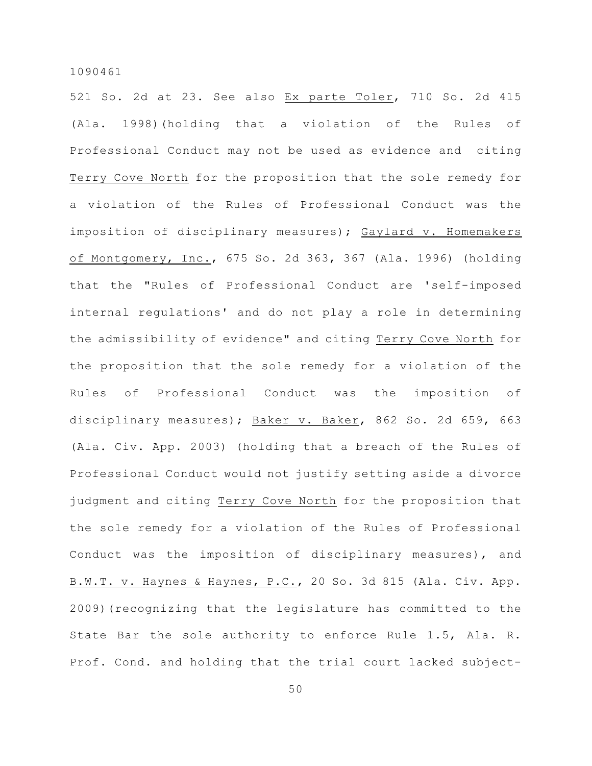521 So. 2d at 23. See also Ex parte Toler, 710 So. 2d 415 (Ala. 1998)(holding that a violation of the Rules of Professional Conduct may not be used as evidence and citing Terry Cove North for the proposition that the sole remedy for a violation of the Rules of Professional Conduct was the imposition of disciplinary measures); Gaylard v. Homemakers of Montgomery, Inc., 675 So. 2d 363, 367 (Ala. 1996) (holding that the "Rules of Professional Conduct are 'self-imposed internal regulations' and do not play a role in determining the admissibility of evidence" and citing Terry Cove North for the proposition that the sole remedy for a violation of the Rules of Professional Conduct was the imposition of disciplinary measures); Baker v. Baker, 862 So. 2d 659, 663 (Ala. Civ. App. 2003) (holding that a breach of the Rules of Professional Conduct would not justify setting aside a divorce judgment and citing Terry Cove North for the proposition that the sole remedy for a violation of the Rules of Professional Conduct was the imposition of disciplinary measures), and B.W.T. v. Haynes & Haynes, P.C., 20 So. 3d 815 (Ala. Civ. App. 2009)(recognizing that the legislature has committed to the State Bar the sole authority to enforce Rule 1.5, Ala. R. Prof. Cond. and holding that the trial court lacked subject-